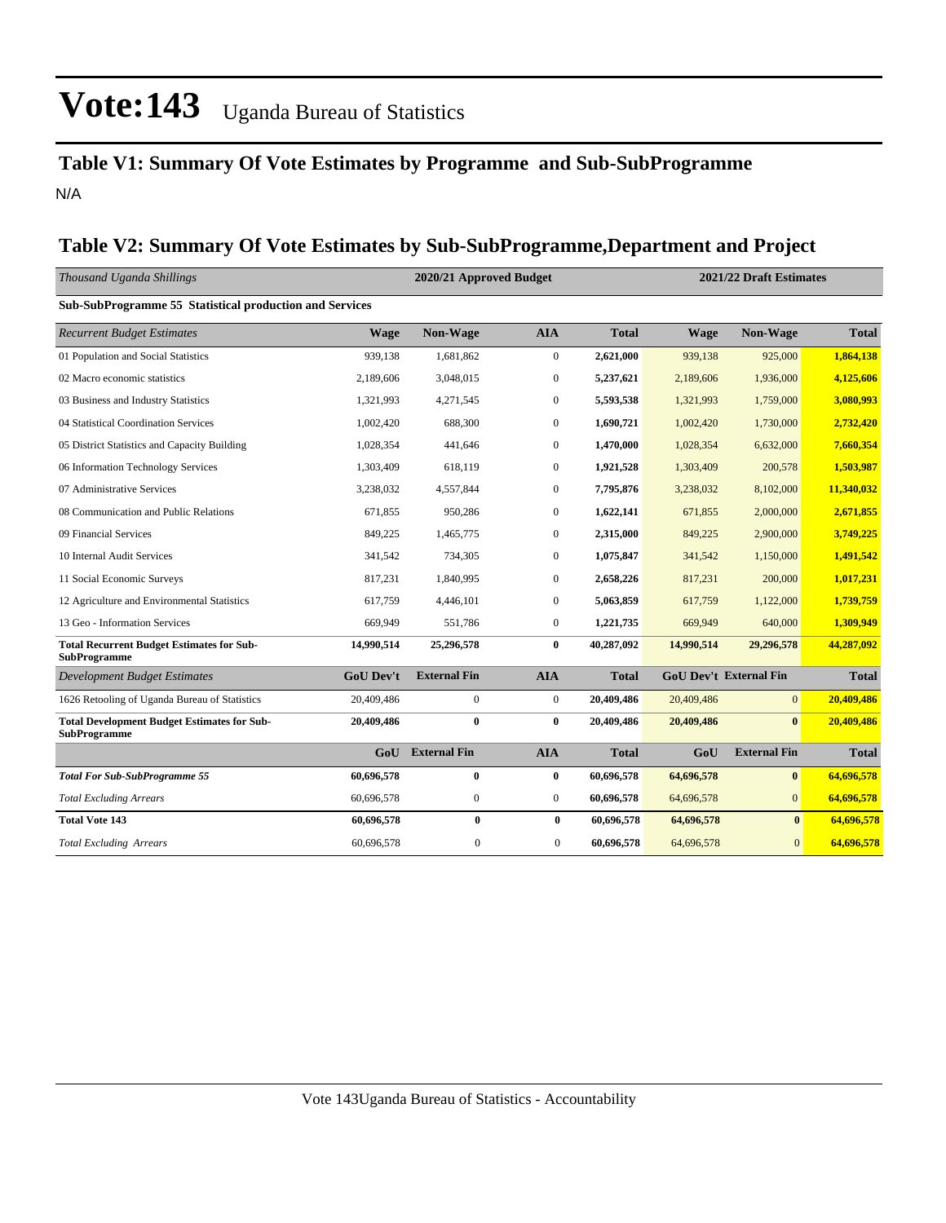### **Table V1: Summary Of Vote Estimates by Programme and Sub-SubProgramme** N/A

### **Table V2: Summary Of Vote Estimates by Sub-SubProgramme,Department and Project**

| Thousand Uganda Shillings                                                 |                  | 2021/22 Draft Estimates<br>2020/21 Approved Budget |                  |              |             |                               |              |
|---------------------------------------------------------------------------|------------------|----------------------------------------------------|------------------|--------------|-------------|-------------------------------|--------------|
| Sub-SubProgramme 55 Statistical production and Services                   |                  |                                                    |                  |              |             |                               |              |
| <b>Recurrent Budget Estimates</b>                                         | <b>Wage</b>      | Non-Wage                                           | <b>AIA</b>       | <b>Total</b> | <b>Wage</b> | Non-Wage                      | <b>Total</b> |
| 01 Population and Social Statistics                                       | 939,138          | 1,681,862                                          | $\overline{0}$   | 2,621,000    | 939,138     | 925,000                       | 1,864,138    |
| 02 Macro economic statistics                                              | 2,189,606        | 3,048,015                                          | $\boldsymbol{0}$ | 5,237,621    | 2,189,606   | 1,936,000                     | 4,125,606    |
| 03 Business and Industry Statistics                                       | 1,321,993        | 4,271,545                                          | $\overline{0}$   | 5,593,538    | 1,321,993   | 1,759,000                     | 3,080,993    |
| 04 Statistical Coordination Services                                      | 1,002,420        | 688,300                                            | $\boldsymbol{0}$ | 1,690,721    | 1,002,420   | 1,730,000                     | 2,732,420    |
| 05 District Statistics and Capacity Building                              | 1,028,354        | 441,646                                            | $\overline{0}$   | 1,470,000    | 1,028,354   | 6,632,000                     | 7,660,354    |
| 06 Information Technology Services                                        | 1,303,409        | 618,119                                            | $\boldsymbol{0}$ | 1,921,528    | 1,303,409   | 200,578                       | 1,503,987    |
| 07 Administrative Services                                                | 3,238,032        | 4,557,844                                          | $\boldsymbol{0}$ | 7,795,876    | 3,238,032   | 8,102,000                     | 11,340,032   |
| 08 Communication and Public Relations                                     | 671,855          | 950,286                                            | $\overline{0}$   | 1,622,141    | 671,855     | 2,000,000                     | 2,671,855    |
| 09 Financial Services                                                     | 849,225          | 1,465,775                                          | $\boldsymbol{0}$ | 2,315,000    | 849,225     | 2,900,000                     | 3,749,225    |
| 10 Internal Audit Services                                                | 341,542          | 734,305                                            | $\overline{0}$   | 1,075,847    | 341,542     | 1,150,000                     | 1,491,542    |
| 11 Social Economic Surveys                                                | 817,231          | 1,840,995                                          | $\boldsymbol{0}$ | 2,658,226    | 817,231     | 200,000                       | 1,017,231    |
| 12 Agriculture and Environmental Statistics                               | 617,759          | 4,446,101                                          | $\overline{0}$   | 5,063,859    | 617,759     | 1,122,000                     | 1,739,759    |
| 13 Geo - Information Services                                             | 669,949          | 551,786                                            | $\boldsymbol{0}$ | 1,221,735    | 669,949     | 640,000                       | 1,309,949    |
| <b>Total Recurrent Budget Estimates for Sub-</b><br><b>SubProgramme</b>   | 14,990,514       | 25,296,578                                         | $\bf{0}$         | 40,287,092   | 14,990,514  | 29,296,578                    | 44,287,092   |
| <b>Development Budget Estimates</b>                                       | <b>GoU Dev't</b> | <b>External Fin</b>                                | <b>AIA</b>       | <b>Total</b> |             | <b>GoU Dev't External Fin</b> | <b>Total</b> |
| 1626 Retooling of Uganda Bureau of Statistics                             | 20,409,486       | $\boldsymbol{0}$                                   | $\overline{0}$   | 20,409,486   | 20,409,486  | $\overline{0}$                | 20,409,486   |
| <b>Total Development Budget Estimates for Sub-</b><br><b>SubProgramme</b> | 20,409,486       | $\bf{0}$                                           | $\bf{0}$         | 20,409,486   | 20,409,486  | $\bf{0}$                      | 20,409,486   |
|                                                                           | GoU              | <b>External Fin</b>                                | <b>AIA</b>       | <b>Total</b> | GoU         | <b>External Fin</b>           | <b>Total</b> |
| <b>Total For Sub-SubProgramme 55</b>                                      | 60,696,578       | $\bf{0}$                                           | 0                | 60,696,578   | 64,696,578  | $\bf{0}$                      | 64,696,578   |
| <b>Total Excluding Arrears</b>                                            | 60,696,578       | $\boldsymbol{0}$                                   | $\overline{0}$   | 60,696,578   | 64,696,578  | $\overline{0}$                | 64,696,578   |
| <b>Total Vote 143</b>                                                     | 60,696,578       | $\bf{0}$                                           | $\bf{0}$         | 60,696,578   | 64,696,578  | $\bf{0}$                      | 64,696,578   |
| <b>Total Excluding Arrears</b>                                            | 60,696,578       | $\boldsymbol{0}$                                   | $\boldsymbol{0}$ | 60,696,578   | 64,696,578  | $\mathbf{0}$                  | 64,696,578   |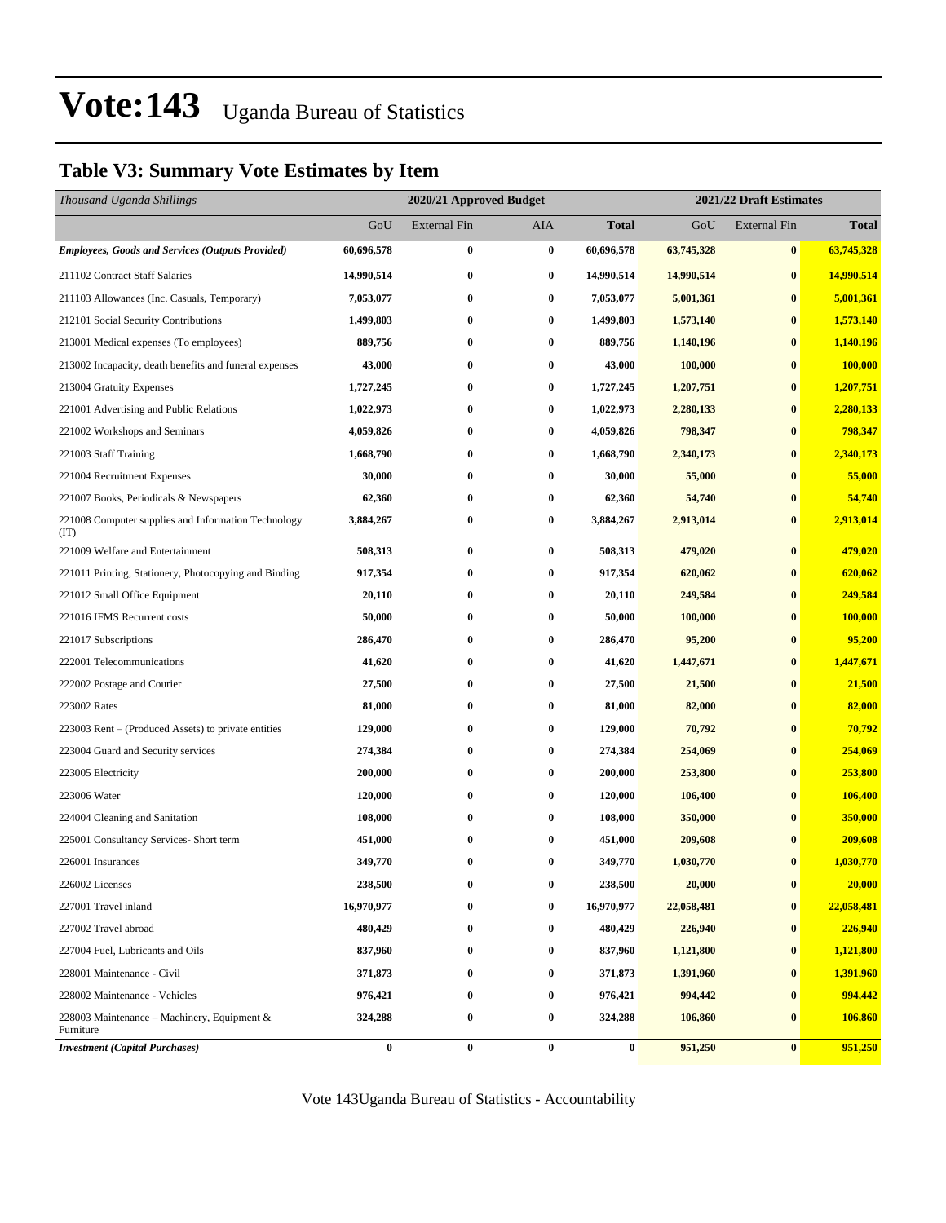### **Table V3: Summary Vote Estimates by Item**

| Thousand Uganda Shillings                                   |                  |                     | 2021/22 Draft Estimates<br>2020/21 Approved Budget |            |            |                     |              |  |
|-------------------------------------------------------------|------------------|---------------------|----------------------------------------------------|------------|------------|---------------------|--------------|--|
|                                                             | GoU              | <b>External Fin</b> | AIA                                                | Total      | GoU        | <b>External Fin</b> | <b>Total</b> |  |
| <b>Employees, Goods and Services (Outputs Provided)</b>     | 60,696,578       | $\bf{0}$            | $\bf{0}$                                           | 60,696,578 | 63,745,328 | $\bf{0}$            | 63,745,328   |  |
| 211102 Contract Staff Salaries                              | 14,990,514       | $\bf{0}$            | $\bf{0}$                                           | 14,990,514 | 14,990,514 | $\bf{0}$            | 14,990,514   |  |
| 211103 Allowances (Inc. Casuals, Temporary)                 | 7,053,077        | $\bf{0}$            | $\bf{0}$                                           | 7,053,077  | 5,001,361  | $\bf{0}$            | 5,001,361    |  |
| 212101 Social Security Contributions                        | 1,499,803        | $\bf{0}$            | $\bf{0}$                                           | 1,499,803  | 1,573,140  | $\bf{0}$            | 1,573,140    |  |
| 213001 Medical expenses (To employees)                      | 889,756          | $\bf{0}$            | $\bf{0}$                                           | 889,756    | 1,140,196  | $\bf{0}$            | 1,140,196    |  |
| 213002 Incapacity, death benefits and funeral expenses      | 43,000           | $\bf{0}$            | $\bf{0}$                                           | 43,000     | 100,000    | $\bf{0}$            | 100,000      |  |
| 213004 Gratuity Expenses                                    | 1,727,245        | $\bf{0}$            | $\bf{0}$                                           | 1,727,245  | 1,207,751  | $\bf{0}$            | 1,207,751    |  |
| 221001 Advertising and Public Relations                     | 1,022,973        | $\bf{0}$            | $\bf{0}$                                           | 1,022,973  | 2,280,133  | $\bf{0}$            | 2,280,133    |  |
| 221002 Workshops and Seminars                               | 4,059,826        | $\bf{0}$            | $\bf{0}$                                           | 4,059,826  | 798,347    | $\bf{0}$            | 798,347      |  |
| 221003 Staff Training                                       | 1,668,790        | $\bf{0}$            | $\bf{0}$                                           | 1,668,790  | 2,340,173  | $\bf{0}$            | 2,340,173    |  |
| 221004 Recruitment Expenses                                 | 30,000           | $\bf{0}$            | $\bf{0}$                                           | 30,000     | 55,000     | $\bf{0}$            | 55,000       |  |
| 221007 Books, Periodicals & Newspapers                      | 62,360           | $\bf{0}$            | $\bf{0}$                                           | 62,360     | 54,740     | $\bf{0}$            | 54,740       |  |
| 221008 Computer supplies and Information Technology<br>(TT) | 3,884,267        | $\bf{0}$            | 0                                                  | 3,884,267  | 2,913,014  | $\bf{0}$            | 2,913,014    |  |
| 221009 Welfare and Entertainment                            | 508,313          | $\bf{0}$            | $\bf{0}$                                           | 508,313    | 479,020    | $\bf{0}$            | 479,020      |  |
| 221011 Printing, Stationery, Photocopying and Binding       | 917,354          | $\bf{0}$            | $\bf{0}$                                           | 917,354    | 620,062    | $\bf{0}$            | 620,062      |  |
| 221012 Small Office Equipment                               | 20,110           | $\bf{0}$            | $\bf{0}$                                           | 20,110     | 249,584    | $\bf{0}$            | 249,584      |  |
| 221016 IFMS Recurrent costs                                 | 50,000           | $\bf{0}$            | $\bf{0}$                                           | 50,000     | 100,000    | $\bf{0}$            | 100,000      |  |
| 221017 Subscriptions                                        | 286,470          | $\bf{0}$            | $\bf{0}$                                           | 286,470    | 95,200     | $\bf{0}$            | 95,200       |  |
| 222001 Telecommunications                                   | 41,620           | $\bf{0}$            | $\bf{0}$                                           | 41,620     | 1,447,671  | $\bf{0}$            | 1,447,671    |  |
| 222002 Postage and Courier                                  | 27,500           | $\bf{0}$            | $\bf{0}$                                           | 27,500     | 21,500     | $\bf{0}$            | 21,500       |  |
| 223002 Rates                                                | 81,000           | $\bf{0}$            | $\bf{0}$                                           | 81,000     | 82,000     | $\bf{0}$            | 82,000       |  |
| 223003 Rent – (Produced Assets) to private entities         | 129,000          | $\bf{0}$            | 0                                                  | 129,000    | 70,792     | $\bf{0}$            | 70,792       |  |
| 223004 Guard and Security services                          | 274,384          | $\bf{0}$            | $\bf{0}$                                           | 274,384    | 254,069    | $\bf{0}$            | 254,069      |  |
| 223005 Electricity                                          | 200,000          | $\bf{0}$            | $\bf{0}$                                           | 200,000    | 253,800    | $\bf{0}$            | 253,800      |  |
| 223006 Water                                                | 120,000          | $\bf{0}$            | $\bf{0}$                                           | 120,000    | 106,400    | $\bf{0}$            | 106,400      |  |
| 224004 Cleaning and Sanitation                              | 108,000          | $\bf{0}$            | $\bf{0}$                                           | 108,000    | 350,000    | $\bf{0}$            | 350,000      |  |
| 225001 Consultancy Services- Short term                     | 451,000          | $\bf{0}$            | $\bf{0}$                                           | 451,000    | 209,608    | $\bf{0}$            | 209,608      |  |
| 226001 Insurances                                           | 349,770          | $\bf{0}$            | $\bf{0}$                                           | 349,770    | 1,030,770  | $\bf{0}$            | 1,030,770    |  |
| 226002 Licenses                                             | 238,500          | 0                   | 0                                                  | 238,500    | 20,000     | $\bf{0}$            | 20,000       |  |
| 227001 Travel inland                                        | 16,970,977       | 0                   | $\bf{0}$                                           | 16,970,977 | 22,058,481 | $\bf{0}$            | 22,058,481   |  |
| 227002 Travel abroad                                        | 480,429          | $\bf{0}$            | $\bf{0}$                                           | 480,429    | 226,940    | $\bf{0}$            | 226,940      |  |
| 227004 Fuel, Lubricants and Oils                            | 837,960          | $\bf{0}$            | 0                                                  | 837,960    | 1,121,800  | $\bf{0}$            | 1,121,800    |  |
| 228001 Maintenance - Civil                                  | 371,873          | $\bf{0}$            | $\boldsymbol{0}$                                   | 371,873    | 1,391,960  | $\bf{0}$            | 1,391,960    |  |
| 228002 Maintenance - Vehicles                               | 976,421          | $\bf{0}$            | $\bf{0}$                                           | 976,421    | 994,442    | $\bf{0}$            | 994,442      |  |
| 228003 Maintenance – Machinery, Equipment $\&$<br>Furniture | 324,288          | $\boldsymbol{0}$    | $\boldsymbol{0}$                                   | 324,288    | 106,860    | $\bf{0}$            | 106,860      |  |
| <b>Investment</b> (Capital Purchases)                       | $\boldsymbol{0}$ | $\bf{0}$            | $\bf{0}$                                           | 0          | 951,250    | $\bf{0}$            | 951,250      |  |

Vote 143Uganda Bureau of Statistics - Accountability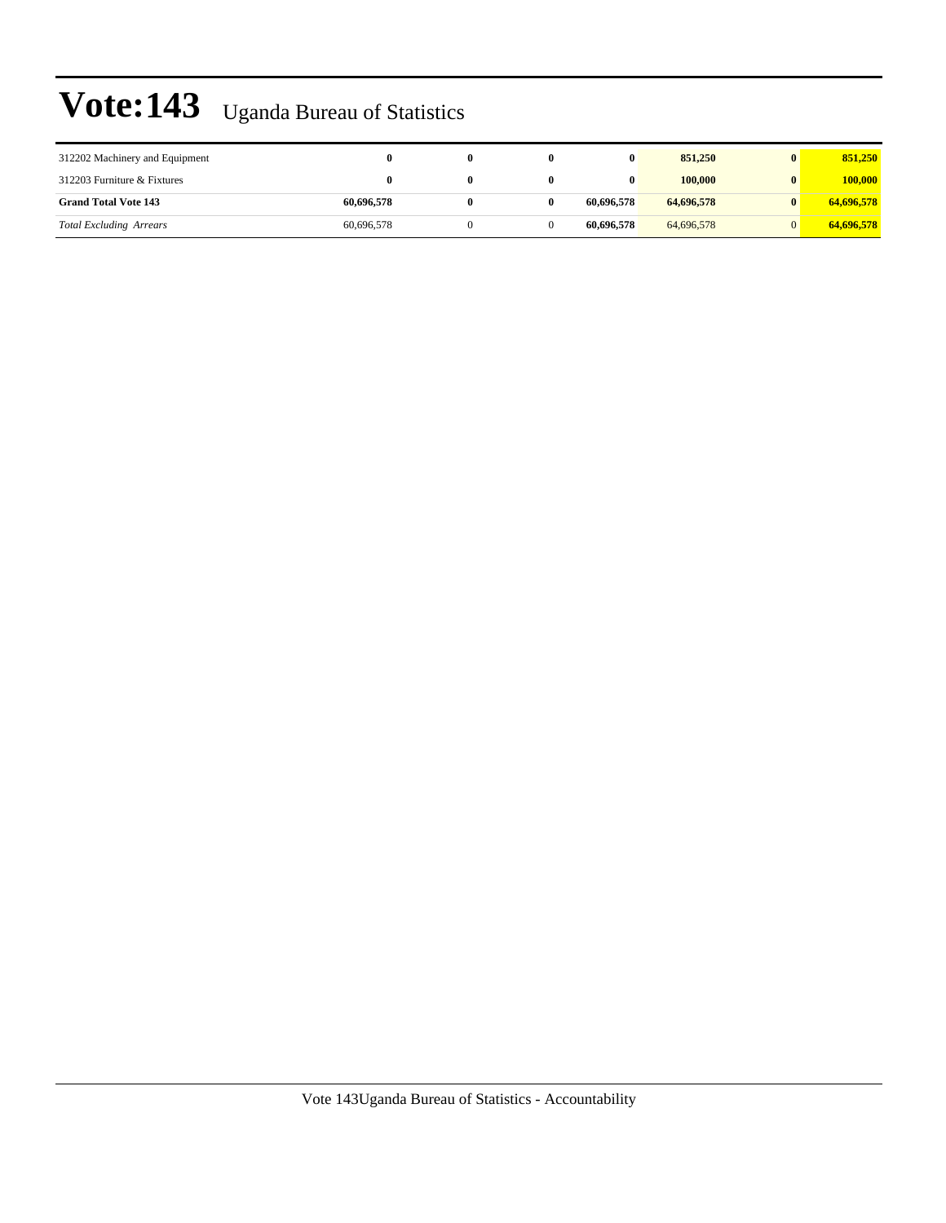| 312202 Machinery and Equipment | 0          |  | 0          | 851,250    | 851,250    |
|--------------------------------|------------|--|------------|------------|------------|
| 312203 Furniture & Fixtures    | 0          |  | 0          | 100,000    | 100,000    |
| <b>Grand Total Vote 143</b>    | 60,696,578 |  | 60,696,578 | 64,696,578 | 64,696,578 |
| <b>Total Excluding Arrears</b> | 60,696,578 |  | 60,696,578 | 64,696,578 | 64,696,578 |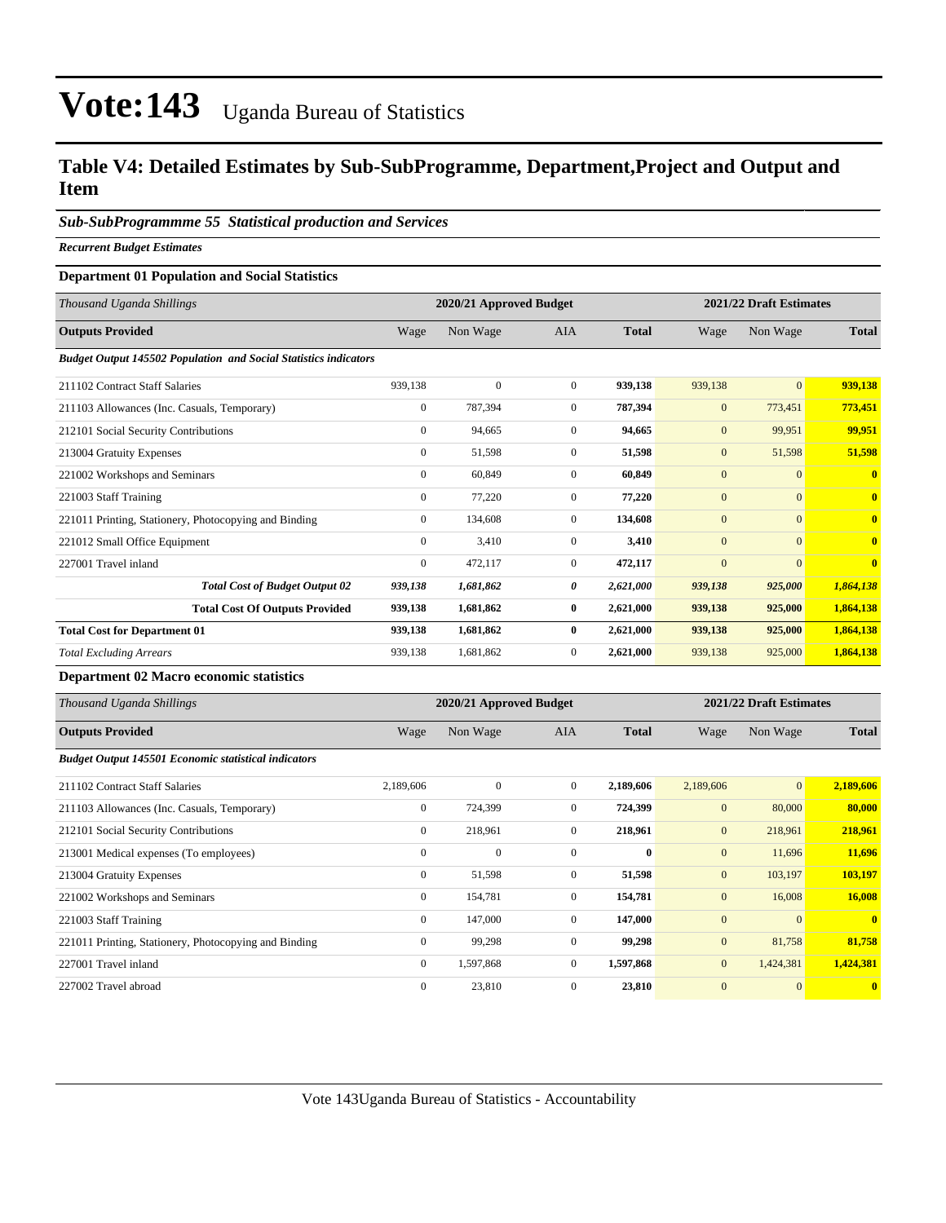### **Table V4: Detailed Estimates by Sub-SubProgramme, Department,Project and Output and Item**

#### *Sub-SubProgrammme 55 Statistical production and Services*

*Recurrent Budget Estimates*

#### **Department 01 Population and Social Statistics**

| Thousand Uganda Shillings                                               |                  | 2020/21 Approved Budget |                |              | 2021/22 Draft Estimates |                |                         |
|-------------------------------------------------------------------------|------------------|-------------------------|----------------|--------------|-------------------------|----------------|-------------------------|
| <b>Outputs Provided</b>                                                 | Wage             | Non Wage                | <b>AIA</b>     | <b>Total</b> | Wage                    | Non Wage       | <b>Total</b>            |
| <b>Budget Output 145502 Population and Social Statistics indicators</b> |                  |                         |                |              |                         |                |                         |
| 211102 Contract Staff Salaries                                          | 939,138          | $\mathbf{0}$            | $\overline{0}$ | 939,138      | 939,138                 | $\mathbf{0}$   | 939,138                 |
| 211103 Allowances (Inc. Casuals, Temporary)                             | $\mathbf{0}$     | 787,394                 | $\overline{0}$ | 787,394      | $\mathbf{0}$            | 773,451        | 773,451                 |
| 212101 Social Security Contributions                                    | $\mathbf{0}$     | 94,665                  | $\overline{0}$ | 94,665       | $\mathbf{0}$            | 99,951         | 99,951                  |
| 213004 Gratuity Expenses                                                | $\mathbf{0}$     | 51,598                  | $\mathbf{0}$   | 51,598       | $\mathbf{0}$            | 51,598         | 51,598                  |
| 221002 Workshops and Seminars                                           | $\mathbf{0}$     | 60,849                  | $\overline{0}$ | 60,849       | $\mathbf{0}$            | $\overline{0}$ | $\mathbf{0}$            |
| 221003 Staff Training                                                   | $\mathbf{0}$     | 77,220                  | $\overline{0}$ | 77,220       | $\mathbf{0}$            | $\overline{0}$ | $\mathbf{0}$            |
| 221011 Printing, Stationery, Photocopying and Binding                   | $\mathbf{0}$     | 134,608                 | $\overline{0}$ | 134,608      | $\mathbf{0}$            | $\overline{0}$ | $\mathbf{0}$            |
| 221012 Small Office Equipment                                           | $\boldsymbol{0}$ | 3,410                   | $\mathbf{0}$   | 3,410        | $\mathbf{0}$            | $\overline{0}$ | $\overline{\mathbf{0}}$ |
| 227001 Travel inland                                                    | $\mathbf{0}$     | 472,117                 | $\overline{0}$ | 472,117      | $\mathbf{0}$            | $\mathbf{0}$   | $\mathbf{0}$            |
| <b>Total Cost of Budget Output 02</b>                                   | 939,138          | 1,681,862               | 0              | 2,621,000    | 939,138                 | 925,000        | 1,864,138               |
| <b>Total Cost Of Outputs Provided</b>                                   | 939,138          | 1,681,862               | 0              | 2,621,000    | 939,138                 | 925,000        | 1,864,138               |
| <b>Total Cost for Department 01</b>                                     | 939,138          | 1,681,862               | 0              | 2,621,000    | 939,138                 | 925,000        | 1,864,138               |
| <b>Total Excluding Arrears</b>                                          | 939,138          | 1,681,862               | $\theta$       | 2,621,000    | 939,138                 | 925,000        | 1,864,138               |

#### **Department 02 Macro economic statistics**

| Thousand Uganda Shillings                                   | 2021/22 Draft Estimates<br>2020/21 Approved Budget |              |                |              |              |                 |              |
|-------------------------------------------------------------|----------------------------------------------------|--------------|----------------|--------------|--------------|-----------------|--------------|
| <b>Outputs Provided</b>                                     | Wage                                               | Non Wage     | <b>AIA</b>     | <b>Total</b> | Wage         | Non Wage        | <b>Total</b> |
| <b>Budget Output 145501 Economic statistical indicators</b> |                                                    |              |                |              |              |                 |              |
| 211102 Contract Staff Salaries                              | 2,189,606                                          | $\mathbf{0}$ | $\overline{0}$ | 2,189,606    | 2,189,606    | $\vert 0 \vert$ | 2,189,606    |
| 211103 Allowances (Inc. Casuals, Temporary)                 | $\mathbf{0}$                                       | 724,399      | $\mathbf{0}$   | 724,399      | $\mathbf{0}$ | 80,000          | 80,000       |
| 212101 Social Security Contributions                        | $\mathbf{0}$                                       | 218,961      | $\overline{0}$ | 218,961      | $\mathbf{0}$ | 218,961         | 218,961      |
| 213001 Medical expenses (To employees)                      | $\mathbf{0}$                                       | $\mathbf{0}$ | $\mathbf{0}$   | $\bf{0}$     | $\mathbf{0}$ | 11,696          | 11,696       |
| 213004 Gratuity Expenses                                    | $\mathbf{0}$                                       | 51,598       | $\mathbf{0}$   | 51,598       | $\mathbf{0}$ | 103,197         | 103,197      |
| 221002 Workshops and Seminars                               | $\mathbf{0}$                                       | 154,781      | $\Omega$       | 154,781      | $\mathbf{0}$ | 16,008          | 16,008       |
| 221003 Staff Training                                       | $\mathbf{0}$                                       | 147,000      | $\overline{0}$ | 147,000      | $\mathbf{0}$ | $\overline{0}$  | $\mathbf{0}$ |
| 221011 Printing, Stationery, Photocopying and Binding       | $\mathbf{0}$                                       | 99,298       | $\overline{0}$ | 99,298       | $\mathbf{0}$ | 81,758          | 81,758       |
| 227001 Travel inland                                        | $\mathbf{0}$                                       | 1,597,868    | $\overline{0}$ | 1,597,868    | $\mathbf{0}$ | 1,424,381       | 1,424,381    |
| 227002 Travel abroad                                        | $\mathbf{0}$                                       | 23,810       | $\mathbf{0}$   | 23,810       | $\mathbf{0}$ | $\mathbf{0}$    | $\mathbf{0}$ |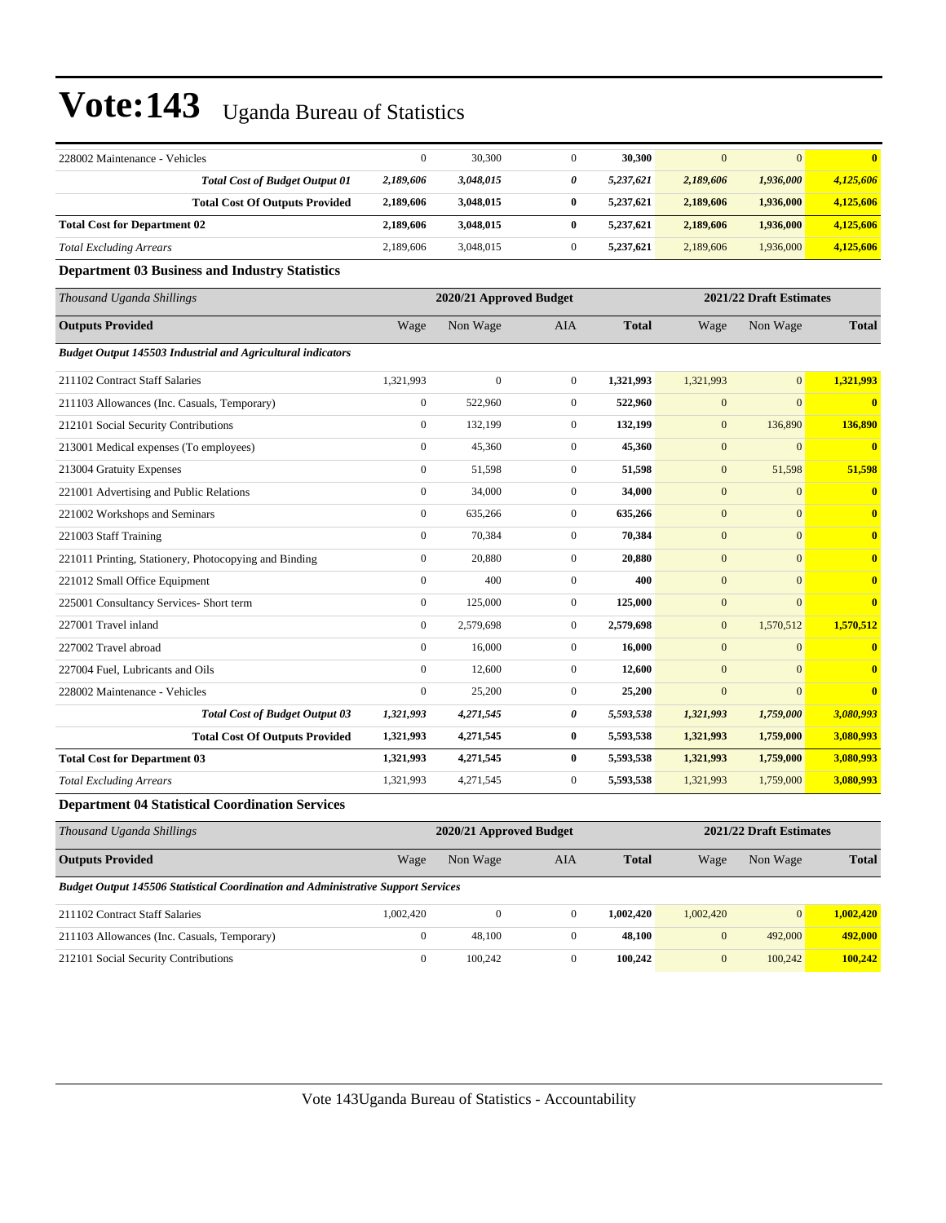| 228002 Maintenance - Vehicles                                      | $\mathbf{0}$                                       | 30,300       | $\mathbf{0}$     | 30,300       | $\mathbf{0}$ | $\mathbf{0}$   | $\bf{0}$                |
|--------------------------------------------------------------------|----------------------------------------------------|--------------|------------------|--------------|--------------|----------------|-------------------------|
| <b>Total Cost of Budget Output 01</b>                              | 2,189,606                                          | 3,048,015    | 0                | 5,237,621    | 2,189,606    | 1,936,000      | 4,125,606               |
| <b>Total Cost Of Outputs Provided</b>                              | 2,189,606                                          | 3,048,015    | $\bf{0}$         | 5,237,621    | 2,189,606    | 1,936,000      | 4,125,606               |
| <b>Total Cost for Department 02</b>                                | 2,189,606                                          | 3,048,015    | $\bf{0}$         | 5,237,621    | 2,189,606    | 1,936,000      | 4,125,606               |
| <b>Total Excluding Arrears</b>                                     | 2,189,606                                          | 3,048,015    | $\boldsymbol{0}$ | 5,237,621    | 2,189,606    | 1,936,000      | 4,125,606               |
| <b>Department 03 Business and Industry Statistics</b>              |                                                    |              |                  |              |              |                |                         |
| Thousand Uganda Shillings                                          | 2020/21 Approved Budget<br>2021/22 Draft Estimates |              |                  |              |              |                |                         |
| <b>Outputs Provided</b>                                            | Wage                                               | Non Wage     | <b>AIA</b>       | <b>Total</b> | Wage         | Non Wage       | <b>Total</b>            |
| <b>Budget Output 145503 Industrial and Agricultural indicators</b> |                                                    |              |                  |              |              |                |                         |
| 211102 Contract Staff Salaries                                     | 1,321,993                                          | $\mathbf{0}$ | $\mathbf{0}$     | 1,321,993    | 1,321,993    | $\overline{0}$ | 1,321,993               |
| 211103 Allowances (Inc. Casuals, Temporary)                        | $\boldsymbol{0}$                                   | 522,960      | $\mathbf{0}$     | 522,960      | $\mathbf{0}$ | $\mathbf{0}$   | $\overline{\mathbf{0}}$ |
| 212101 Social Security Contributions                               | $\mathbf{0}$                                       | 132,199      | $\overline{0}$   | 132,199      | $\mathbf{0}$ | 136,890        | 136,890                 |
| 213001 Medical expenses (To employees)                             | $\boldsymbol{0}$                                   | 45,360       | $\mathbf{0}$     | 45,360       | $\mathbf{0}$ | $\mathbf{0}$   | $\overline{\mathbf{0}}$ |
| 213004 Gratuity Expenses                                           | $\mathbf{0}$                                       | 51,598       | $\overline{0}$   | 51,598       | $\mathbf{0}$ | 51,598         | 51,598                  |
| 221001 Advertising and Public Relations                            | $\boldsymbol{0}$                                   | 34,000       | $\mathbf{0}$     | 34,000       | $\mathbf{0}$ | $\mathbf{0}$   | $\bf{0}$                |
| 221002 Workshops and Seminars                                      | $\boldsymbol{0}$                                   | 635,266      | $\overline{0}$   | 635,266      | $\mathbf{0}$ | $\mathbf{0}$   | $\bf{0}$                |
| 221003 Staff Training                                              | $\boldsymbol{0}$                                   | 70,384       | $\overline{0}$   | 70,384       | $\mathbf{0}$ | $\mathbf{0}$   | $\overline{\mathbf{0}}$ |
| 221011 Printing, Stationery, Photocopying and Binding              | $\mathbf{0}$                                       | 20,880       | $\overline{0}$   | 20,880       | $\mathbf{0}$ | $\mathbf{0}$   | $\bf{0}$                |
| 221012 Small Office Equipment                                      | $\mathbf{0}$                                       | 400          | $\mathbf{0}$     | 400          | $\mathbf{0}$ | $\mathbf{0}$   | $\bf{0}$                |
| 225001 Consultancy Services- Short term                            | $\mathbf{0}$                                       | 125,000      | $\overline{0}$   | 125,000      | $\mathbf{0}$ | $\mathbf{0}$   | $\bf{0}$                |
| 227001 Travel inland                                               | $\mathbf{0}$                                       | 2,579,698    | $\overline{0}$   | 2,579,698    | $\mathbf{0}$ | 1,570,512      | 1,570,512               |
| 227002 Travel abroad                                               | $\mathbf{0}$                                       | 16,000       | $\overline{0}$   | 16,000       | $\mathbf{0}$ | $\mathbf{0}$   | $\bf{0}$                |
| 227004 Fuel, Lubricants and Oils                                   | $\mathbf{0}$                                       | 12,600       | $\overline{0}$   | 12,600       | $\mathbf{0}$ | $\mathbf{0}$   | $\overline{\mathbf{0}}$ |
| 228002 Maintenance - Vehicles                                      | $\mathbf{0}$                                       | 25,200       | $\overline{0}$   | 25,200       | $\mathbf{0}$ | $\Omega$       | $\overline{\mathbf{0}}$ |
| <b>Total Cost of Budget Output 03</b>                              | 1,321,993                                          | 4,271,545    | 0                | 5,593,538    | 1,321,993    | 1,759,000      | 3,080,993               |
| <b>Total Cost Of Outputs Provided</b>                              | 1,321,993                                          | 4,271,545    | 0                | 5,593,538    | 1,321,993    | 1,759,000      | 3,080,993               |
| <b>Total Cost for Department 03</b>                                | 1,321,993                                          | 4,271,545    | $\bf{0}$         | 5,593,538    | 1,321,993    | 1,759,000      | 3,080,993               |
| <b>Total Excluding Arrears</b>                                     | 1,321,993                                          | 4,271,545    | $\boldsymbol{0}$ | 5,593,538    | 1,321,993    | 1,759,000      | 3,080,993               |
| Department 04 Statistical Coordination Services                    |                                                    |              |                  |              |              |                |                         |

#### **Department 04 Statistical Coordination Services**

| Thousand Uganda Shillings                                                                |           | 2020/21 Approved Budget |     |              | 2021/22 Draft Estimates |                 |              |
|------------------------------------------------------------------------------------------|-----------|-------------------------|-----|--------------|-------------------------|-----------------|--------------|
| <b>Outputs Provided</b>                                                                  | Wage      | Non Wage                | AIA | <b>Total</b> | Wage                    | Non Wage        | <b>Total</b> |
| <b>Budget Output 145506 Statistical Coordination and Administrative Support Services</b> |           |                         |     |              |                         |                 |              |
| 211102 Contract Staff Salaries                                                           | 1.002.420 | $\mathbf{0}$            |     | 1.002.420    | 1,002,420               | $\vert 0 \vert$ | 1.002.420    |
| 211103 Allowances (Inc. Casuals, Temporary)                                              | $\Omega$  | 48.100                  |     | 48.100       | $\mathbf{0}$            | 492,000         | 492,000      |
| 212101 Social Security Contributions                                                     | 0         | 100.242                 |     | 100.242      | $\mathbf{0}$            | 100,242         | 100.242      |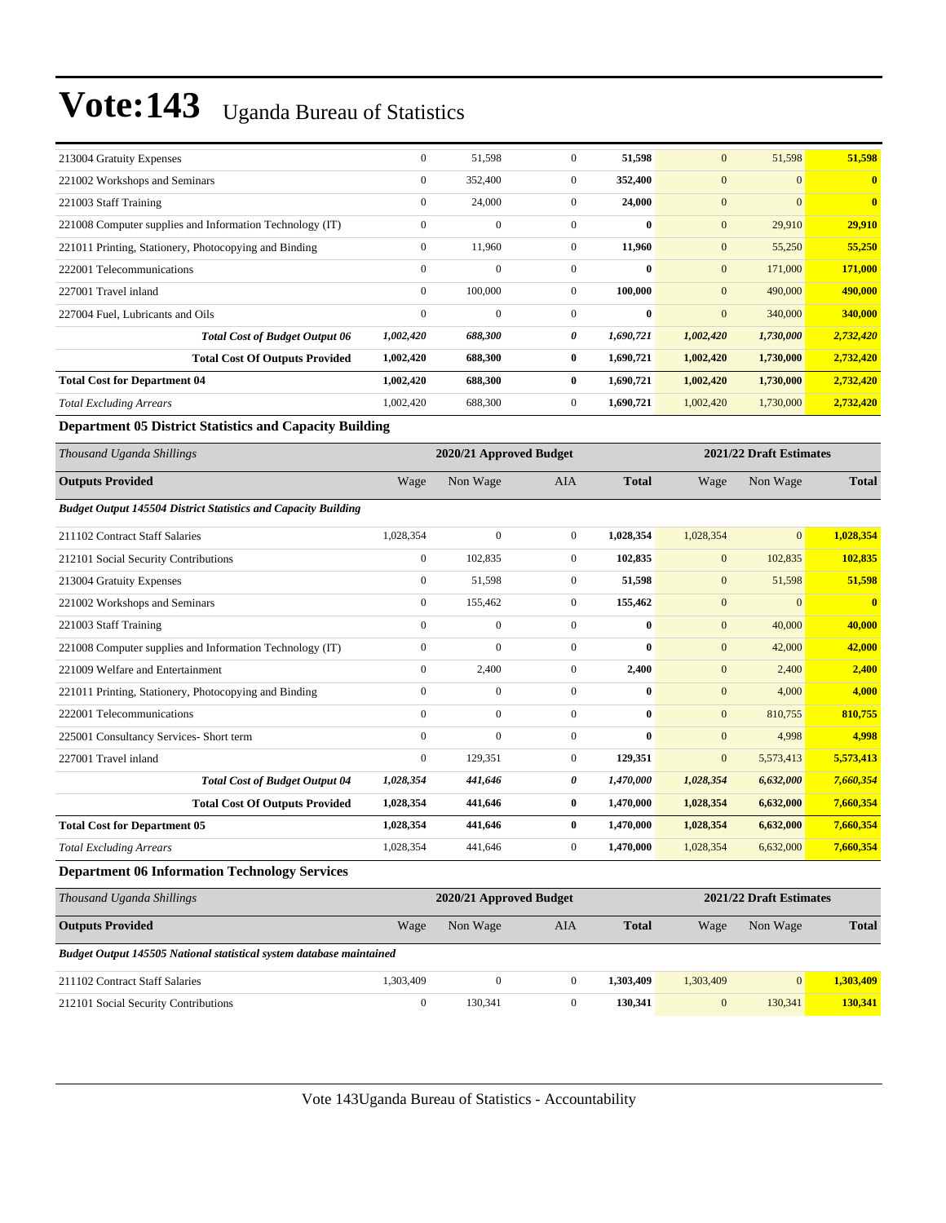| 213004 Gratuity Expenses                                              | $\boldsymbol{0}$ | 51,598                    | $\boldsymbol{0}$ | 51,598       | $\boldsymbol{0}$ | 51,598                    | 51,598                  |
|-----------------------------------------------------------------------|------------------|---------------------------|------------------|--------------|------------------|---------------------------|-------------------------|
| 221002 Workshops and Seminars                                         | $\boldsymbol{0}$ | 352,400                   | $\boldsymbol{0}$ | 352,400      | $\mathbf{0}$     | $\mathbf{0}$              | $\mathbf{0}$            |
| 221003 Staff Training                                                 | $\mathbf{0}$     | 24,000                    | $\boldsymbol{0}$ | 24,000       | $\mathbf{0}$     | $\mathbf{0}$              | $\overline{\mathbf{0}}$ |
| 221008 Computer supplies and Information Technology (IT)              | $\boldsymbol{0}$ | $\overline{0}$            | $\boldsymbol{0}$ | $\bf{0}$     | $\mathbf{0}$     | 29,910                    | 29,910                  |
| 221011 Printing, Stationery, Photocopying and Binding                 | $\mathbf{0}$     | 11,960                    | $\overline{0}$   | 11,960       | $\mathbf{0}$     | 55,250                    | 55,250                  |
| 222001 Telecommunications                                             | $\boldsymbol{0}$ | $\mathbf{0}$              | $\boldsymbol{0}$ | $\bf{0}$     | $\boldsymbol{0}$ | 171,000                   | 171,000                 |
| 227001 Travel inland                                                  | $\mathbf{0}$     | 100,000                   | $\overline{0}$   | 100,000      | $\mathbf{0}$     | 490,000                   | 490,000                 |
| 227004 Fuel, Lubricants and Oils                                      | $\boldsymbol{0}$ | $\mathbf{0}$              | $\overline{0}$   | $\bf{0}$     | $\mathbf{0}$     | 340,000                   | 340,000                 |
| <b>Total Cost of Budget Output 06</b>                                 | 1,002,420        | 688,300                   | 0                | 1,690,721    | 1,002,420        | 1,730,000                 | 2,732,420               |
| <b>Total Cost Of Outputs Provided</b>                                 | 1,002,420        | 688,300                   | $\bf{0}$         | 1,690,721    | 1,002,420        | 1,730,000                 | 2,732,420               |
| <b>Total Cost for Department 04</b>                                   | 1,002,420        | 688,300                   | $\bf{0}$         | 1,690,721    | 1,002,420        | 1,730,000                 | 2,732,420               |
| <b>Total Excluding Arrears</b>                                        | 1,002,420        | 688,300                   | $\boldsymbol{0}$ | 1,690,721    | 1,002,420        | 1,730,000                 | 2,732,420               |
| <b>Department 05 District Statistics and Capacity Building</b>        |                  |                           |                  |              |                  |                           |                         |
| Thousand Uganda Shillings                                             |                  | 2020/21 Approved Budget   |                  |              |                  | 2021/22 Draft Estimates   |                         |
| <b>Outputs Provided</b>                                               | Wage             | Non Wage                  | <b>AIA</b>       | <b>Total</b> | Wage             | Non Wage                  | <b>Total</b>            |
| <b>Budget Output 145504 District Statistics and Capacity Building</b> |                  |                           |                  |              |                  |                           |                         |
| 211102 Contract Staff Salaries                                        | 1,028,354        | $\mathbf{0}$              | $\boldsymbol{0}$ | 1,028,354    | 1,028,354        | $\overline{0}$            | 1,028,354               |
| 212101 Social Security Contributions                                  | $\mathbf{0}$     | 102,835                   | $\overline{0}$   | 102,835      | $\mathbf{0}$     | 102,835                   | 102,835                 |
| 213004 Gratuity Expenses                                              | $\boldsymbol{0}$ | 51,598                    | $\boldsymbol{0}$ | 51,598       | $\mathbf{0}$     | 51,598                    | 51,598                  |
| 221002 Workshops and Seminars                                         | $\boldsymbol{0}$ | 155,462                   | $\boldsymbol{0}$ | 155,462      | $\mathbf{0}$     | $\mathbf{0}$              | $\bf{0}$                |
| 221003 Staff Training                                                 | $\boldsymbol{0}$ | $\boldsymbol{0}$          | $\boldsymbol{0}$ | $\bf{0}$     | $\boldsymbol{0}$ | 40,000                    | 40,000                  |
| 221008 Computer supplies and Information Technology (IT)              | $\boldsymbol{0}$ | $\mathbf{0}$              | $\boldsymbol{0}$ | $\bf{0}$     | $\boldsymbol{0}$ | 42,000                    | 42,000                  |
| 221009 Welfare and Entertainment                                      | $\boldsymbol{0}$ | 2,400                     | $\overline{0}$   | 2,400        | $\boldsymbol{0}$ | 2,400                     | 2,400                   |
| 221011 Printing, Stationery, Photocopying and Binding                 | $\mathbf{0}$     | $\mathbf{0}$              | $\overline{0}$   | $\bf{0}$     | $\mathbf{0}$     | 4,000                     | 4,000                   |
| 222001 Telecommunications                                             | $\mathbf{0}$     | $\mathbf{0}$              | $\mathbf{0}$     | $\bf{0}$     | $\boldsymbol{0}$ | 810,755                   | 810,755                 |
| 225001 Consultancy Services- Short term                               | $\mathbf{0}$     | $\mathbf{0}$              | $\boldsymbol{0}$ | $\bf{0}$     | $\mathbf{0}$     | 4,998                     | 4,998                   |
| 227001 Travel inland                                                  | $\mathbf{0}$     | 129,351                   | $\overline{0}$   | 129,351      | $\mathbf{0}$     | 5,573,413                 | 5,573,413               |
| <b>Total Cost of Budget Output 04</b>                                 | 1,028,354        | 441,646                   | 0                | 1,470,000    | 1,028,354        | 6,632,000                 | 7,660,354               |
| <b>Total Cost Of Outputs Provided</b>                                 | 1,028,354        | 441,646                   | $\bf{0}$         | 1,470,000    | 1,028,354        | 6,632,000                 | 7,660,354               |
| <b>Total Cost for Department 05</b>                                   | 1,028,354        | 441,646                   | $\bf{0}$         | 1,470,000    | 1,028,354        | 6,632,000                 | 7,660,354               |
| <b>Total Excluding Arrears</b>                                        | 1,028,354        | 441,646                   | $\boldsymbol{0}$ | 1,470,000    | 1,028,354        | 6,632,000                 | 7,660,354               |
| <b>Department 06 Information Technology Services</b>                  |                  |                           |                  |              |                  |                           |                         |
| Thousand Hounda Chillipse                                             |                  | $2020/21$ Approved Pudget |                  |              |                  | $2021/22$ Draft Estimates |                         |

| Thousand Uganda Shillings                                            |           | 2020/21 Approved Budget |     |              |           |          | 2021/22 Draft Estimates |  |
|----------------------------------------------------------------------|-----------|-------------------------|-----|--------------|-----------|----------|-------------------------|--|
| <b>Outputs Provided</b>                                              | Wage      | Non Wage                | AIA | <b>Total</b> | Wage      | Non Wage | <b>Total</b>            |  |
| Budget Output 145505 National statistical system database maintained |           |                         |     |              |           |          |                         |  |
| 211102 Contract Staff Salaries                                       | 1,303,409 |                         |     | 1.303.409    | 1.303.409 |          | 1.303,409               |  |
| 212101 Social Security Contributions                                 |           | 130.341                 |     | 130.341      | 0         | 130.341  | 130.341                 |  |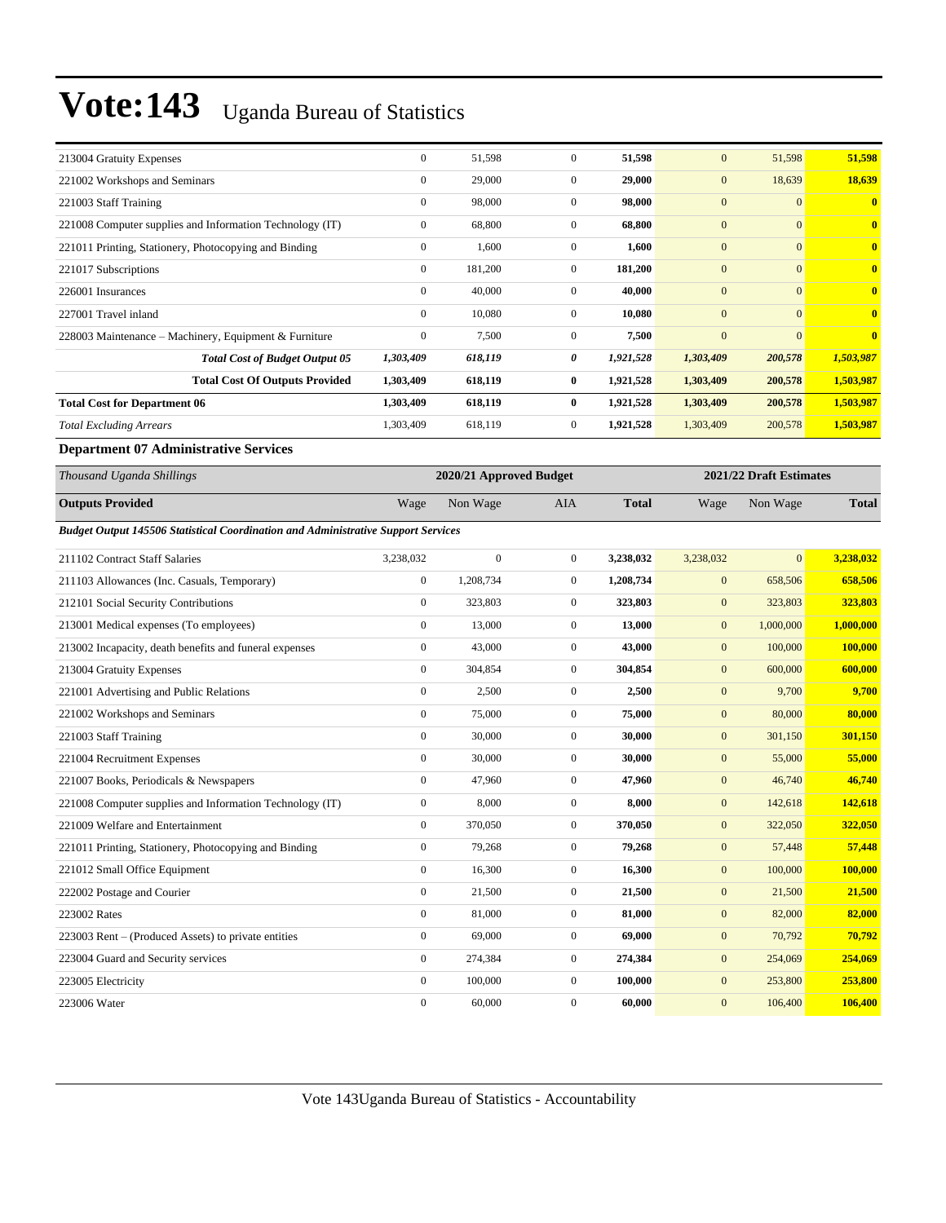| 213004 Gratuity Expenses                                                          | $\mathbf{0}$     | 51,598                  | $\boldsymbol{0}$ | 51,598       | $\mathbf{0}$     | 51,598                  | 51,598       |
|-----------------------------------------------------------------------------------|------------------|-------------------------|------------------|--------------|------------------|-------------------------|--------------|
| 221002 Workshops and Seminars                                                     | $\mathbf{0}$     | 29,000                  | $\mathbf{0}$     | 29,000       | $\mathbf{0}$     | 18,639                  | 18,639       |
| 221003 Staff Training                                                             | $\mathbf{0}$     | 98,000                  | $\mathbf{0}$     | 98,000       | $\mathbf{0}$     | $\overline{0}$          | $\bf{0}$     |
| 221008 Computer supplies and Information Technology (IT)                          | $\mathbf{0}$     | 68,800                  | $\mathbf{0}$     | 68,800       | $\mathbf{0}$     | $\mathbf{0}$            | $\bf{0}$     |
| 221011 Printing, Stationery, Photocopying and Binding                             | $\boldsymbol{0}$ | 1,600                   | $\boldsymbol{0}$ | 1,600        | $\boldsymbol{0}$ | $\mathbf{0}$            | $\bf{0}$     |
| 221017 Subscriptions                                                              | $\mathbf{0}$     | 181,200                 | $\mathbf{0}$     | 181,200      | $\mathbf{0}$     | $\mathbf{0}$            | $\bf{0}$     |
| 226001 Insurances                                                                 | $\mathbf{0}$     | 40,000                  | $\boldsymbol{0}$ | 40,000       | $\mathbf{0}$     | $\mathbf{0}$            | $\bf{0}$     |
| 227001 Travel inland                                                              | $\mathbf{0}$     | 10,080                  | $\mathbf{0}$     | 10,080       | $\mathbf{0}$     | $\overline{0}$          | $\bf{0}$     |
| 228003 Maintenance - Machinery, Equipment & Furniture                             | $\boldsymbol{0}$ | 7,500                   | $\boldsymbol{0}$ | 7,500        | $\mathbf{0}$     | $\overline{0}$          | $\bf{0}$     |
| <b>Total Cost of Budget Output 05</b>                                             | 1,303,409        | 618,119                 | 0                | 1,921,528    | 1,303,409        | 200,578                 | 1,503,987    |
| <b>Total Cost Of Outputs Provided</b>                                             | 1,303,409        | 618,119                 | $\bf{0}$         | 1,921,528    | 1,303,409        | 200,578                 | 1,503,987    |
| <b>Total Cost for Department 06</b>                                               | 1,303,409        | 618,119                 | $\bf{0}$         | 1,921,528    | 1,303,409        | 200,578                 | 1,503,987    |
| <b>Total Excluding Arrears</b>                                                    | 1,303,409        | 618,119                 | $\mathbf{0}$     | 1,921,528    | 1,303,409        | 200,578                 | 1,503,987    |
| <b>Department 07 Administrative Services</b>                                      |                  |                         |                  |              |                  |                         |              |
|                                                                                   |                  |                         |                  |              |                  |                         |              |
| Thousand Uganda Shillings                                                         |                  | 2020/21 Approved Budget |                  |              |                  | 2021/22 Draft Estimates |              |
| <b>Outputs Provided</b>                                                           | Wage             | Non Wage                | <b>AIA</b>       | <b>Total</b> | Wage             | Non Wage                | <b>Total</b> |
| Budget Output 145506 Statistical Coordination and Administrative Support Services |                  |                         |                  |              |                  |                         |              |
| 211102 Contract Staff Salaries                                                    | 3,238,032        | $\boldsymbol{0}$        | $\boldsymbol{0}$ | 3,238,032    | 3,238,032        | $\mathbf{0}$            | 3,238,032    |
| 211103 Allowances (Inc. Casuals, Temporary)                                       | $\mathbf{0}$     | 1,208,734               | $\mathbf{0}$     | 1,208,734    | $\boldsymbol{0}$ | 658,506                 | 658,506      |
| 212101 Social Security Contributions                                              | $\theta$         | 323,803                 | $\boldsymbol{0}$ | 323,803      | $\mathbf{0}$     | 323,803                 | 323,803      |
| 213001 Medical expenses (To employees)                                            | $\mathbf{0}$     | 13,000                  | $\mathbf{0}$     | 13,000       | $\mathbf{0}$     | 1,000,000               | 1,000,000    |
| 213002 Incapacity, death benefits and funeral expenses                            | $\boldsymbol{0}$ | 43,000                  | $\boldsymbol{0}$ | 43,000       | $\boldsymbol{0}$ | 100,000                 | 100,000      |
| 213004 Gratuity Expenses                                                          | $\mathbf{0}$     | 304,854                 | $\boldsymbol{0}$ | 304,854      | $\mathbf{0}$     | 600,000                 | 600,000      |
| 221001 Advertising and Public Relations                                           | $\mathbf{0}$     | 2,500                   | $\mathbf{0}$     | 2,500        | $\mathbf{0}$     | 9,700                   | 9,700        |
| 221002 Workshops and Seminars                                                     | $\mathbf{0}$     | 75,000                  | $\mathbf{0}$     | 75,000       | $\mathbf{0}$     | 80,000                  | 80,000       |
| 221003 Staff Training                                                             | $\boldsymbol{0}$ | 30,000                  | $\boldsymbol{0}$ | 30,000       | $\mathbf{0}$     | 301,150                 | 301,150      |
| 221004 Recruitment Expenses                                                       | $\boldsymbol{0}$ | 30,000                  | $\boldsymbol{0}$ | 30,000       | $\mathbf{0}$     | 55,000                  | 55,000       |

221008 Computer supplies and Information Technology (IT) 0 8,000 0 **8,000** 0 142,618 **142,618** 221009 Welfare and Entertainment 0 370,050 0 **370,050** 0 322,050 **322,050** 221011 Printing, Stationery, Photocopying and Binding 0 79,268 0 **79,268** 0 57,448 **57,448** 221012 Small Office Equipment 0 16,300 0 **16,300** 0 100,000 **100,000** 222002 Postage and Courier 0 21,500 0 **21,500** 0 21,500 **21,500** 223002 Rates 0 81,000 0 **81,000** 0 82,000 **82,000** 223003 Rent – (Produced Assets) to private entities 0 69,000 0 69,000 0 **69,000** 0 70,792 70,792 223004 Guard and Security services 0 274,384 0 **274,384** 0 254,069 **254,069** 223005 Electricity 0 100,000 0 **100,000** 0 253,800 **253,800** 223006 Water 0 60,000 0 **60,000** 0 106,400 **106,400**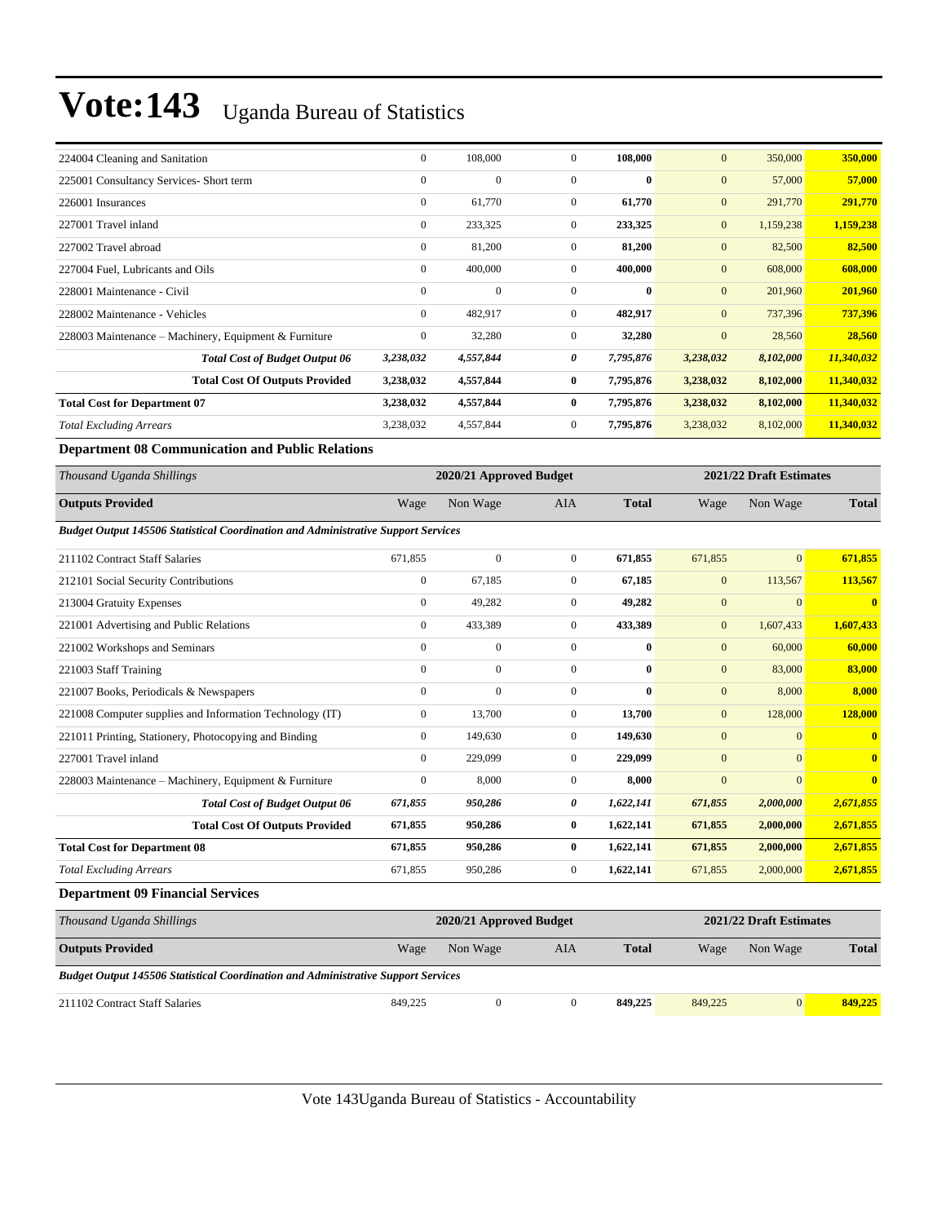| 224004 Cleaning and Sanitation                        | $\mathbf{0}$     | 108,000      | $\mathbf{0}$   | 108,000   | $\mathbf{0}$ | 350,000   | 350,000    |
|-------------------------------------------------------|------------------|--------------|----------------|-----------|--------------|-----------|------------|
| 225001 Consultancy Services- Short term               | $\mathbf{0}$     | $\mathbf{0}$ | $\mathbf{0}$   | $\bf{0}$  | $\mathbf{0}$ | 57,000    | 57,000     |
| 226001 Insurances                                     | $\mathbf{0}$     | 61,770       | $\mathbf{0}$   | 61,770    | $\mathbf{0}$ | 291,770   | 291,770    |
| 227001 Travel inland                                  | $\mathbf{0}$     | 233,325      | $\mathbf{0}$   | 233,325   | $\mathbf{0}$ | 1,159,238 | 1,159,238  |
| 227002 Travel abroad                                  | $\mathbf{0}$     | 81,200       | $\overline{0}$ | 81,200    | $\mathbf{0}$ | 82,500    | 82,500     |
| 227004 Fuel, Lubricants and Oils                      | $\mathbf{0}$     | 400,000      | $\mathbf{0}$   | 400,000   | $\mathbf{0}$ | 608,000   | 608,000    |
| 228001 Maintenance - Civil                            | $\mathbf{0}$     | $\mathbf{0}$ | $\mathbf{0}$   | $\bf{0}$  | $\mathbf{0}$ | 201,960   | 201,960    |
| 228002 Maintenance - Vehicles                         | $\mathbf{0}$     | 482,917      | $\overline{0}$ | 482,917   | $\mathbf{0}$ | 737,396   | 737,396    |
| 228003 Maintenance – Machinery, Equipment & Furniture | $\boldsymbol{0}$ | 32,280       | $\mathbf{0}$   | 32,280    | $\mathbf{0}$ | 28,560    | 28,560     |
| <b>Total Cost of Budget Output 06</b>                 | 3,238,032        | 4,557,844    | 0              | 7,795,876 | 3,238,032    | 8,102,000 | 11,340,032 |
| <b>Total Cost Of Outputs Provided</b>                 | 3,238,032        | 4,557,844    | $\bf{0}$       | 7,795,876 | 3,238,032    | 8,102,000 | 11,340,032 |
| <b>Total Cost for Department 07</b>                   | 3,238,032        | 4,557,844    | $\bf{0}$       | 7,795,876 | 3,238,032    | 8,102,000 | 11,340,032 |
| <b>Total Excluding Arrears</b>                        | 3,238,032        | 4,557,844    | $\overline{0}$ | 7,795,876 | 3,238,032    | 8,102,000 | 11,340,032 |

**Department 08 Communication and Public Relations**

| Thousand Uganda Shillings                                                                |                  | 2020/21 Approved Budget |                  |              |              | 2021/22 Draft Estimates |                         |
|------------------------------------------------------------------------------------------|------------------|-------------------------|------------------|--------------|--------------|-------------------------|-------------------------|
| <b>Outputs Provided</b>                                                                  | Wage             | Non Wage                | <b>AIA</b>       | <b>Total</b> | Wage         | Non Wage                | <b>Total</b>            |
| <b>Budget Output 145506 Statistical Coordination and Administrative Support Services</b> |                  |                         |                  |              |              |                         |                         |
| 211102 Contract Staff Salaries                                                           | 671,855          | $\mathbf{0}$            | $\overline{0}$   | 671,855      | 671,855      | $\overline{0}$          | 671,855                 |
| 212101 Social Security Contributions                                                     | $\boldsymbol{0}$ | 67,185                  | $\overline{0}$   | 67,185       | $\mathbf{0}$ | 113,567                 | 113,567                 |
| 213004 Gratuity Expenses                                                                 | $\mathbf{0}$     | 49,282                  | $\overline{0}$   | 49,282       | $\mathbf{0}$ | $\overline{0}$          | $\overline{\mathbf{0}}$ |
| 221001 Advertising and Public Relations                                                  | $\mathbf{0}$     | 433,389                 | $\overline{0}$   | 433,389      | $\mathbf{0}$ | 1,607,433               | 1,607,433               |
| 221002 Workshops and Seminars                                                            | $\mathbf{0}$     | $\overline{0}$          | $\overline{0}$   | $\bf{0}$     | $\mathbf{0}$ | 60,000                  | 60,000                  |
| 221003 Staff Training                                                                    | $\Omega$         | $\theta$                | $\overline{0}$   | $\mathbf{0}$ | $\mathbf{0}$ | 83,000                  | 83,000                  |
| 221007 Books, Periodicals & Newspapers                                                   | $\mathbf{0}$     | $\overline{0}$          | $\mathbf{0}$     | $\bf{0}$     | $\mathbf{0}$ | 8,000                   | 8,000                   |
| 221008 Computer supplies and Information Technology (IT)                                 | $\mathbf{0}$     | 13,700                  | $\overline{0}$   | 13,700       | $\mathbf{0}$ | 128,000                 | 128,000                 |
| 221011 Printing, Stationery, Photocopying and Binding                                    | $\mathbf{0}$     | 149,630                 | $\overline{0}$   | 149,630      | $\mathbf{0}$ | $\mathbf{0}$            | $\overline{\mathbf{0}}$ |
| 227001 Travel inland                                                                     | $\Omega$         | 229,099                 | $\overline{0}$   | 229,099      | $\mathbf{0}$ | $\overline{0}$          | $\overline{\mathbf{0}}$ |
| 228003 Maintenance - Machinery, Equipment & Furniture                                    | $\mathbf{0}$     | 8,000                   | $\overline{0}$   | 8,000        | $\mathbf{0}$ | $\overline{0}$          | $\overline{\mathbf{0}}$ |
| <b>Total Cost of Budget Output 06</b>                                                    | 671,855          | 950,286                 | 0                | 1,622,141    | 671,855      | 2,000,000               | 2,671,855               |
| <b>Total Cost Of Outputs Provided</b>                                                    | 671,855          | 950,286                 | $\bf{0}$         | 1,622,141    | 671,855      | 2,000,000               | 2,671,855               |
| <b>Total Cost for Department 08</b>                                                      | 671,855          | 950,286                 | $\bf{0}$         | 1,622,141    | 671,855      | 2,000,000               | 2,671,855               |
| <b>Total Excluding Arrears</b>                                                           | 671,855          | 950,286                 | $\boldsymbol{0}$ | 1,622,141    | 671,855      | 2,000,000               | 2,671,855               |
| <b>Department 09 Financial Services</b>                                                  |                  |                         |                  |              |              |                         |                         |
| Thousand Uganda Shillings                                                                |                  | 2020/21 Approved Budget |                  |              |              | 2021/22 Draft Estimates |                         |
| <b>Outputs Provided</b>                                                                  | Wage             | Non Wage                | <b>AIA</b>       | <b>Total</b> | Wage         | Non Wage                | <b>Total</b>            |
| <b>Budget Output 145506 Statistical Coordination and Administrative Support Services</b> |                  |                         |                  |              |              |                         |                         |

211102 Contract Staff Salaries 849,225 0 0 **849,225** 849,225 0 **849,225**

Vote 143Uganda Bureau of Statistics - Accountability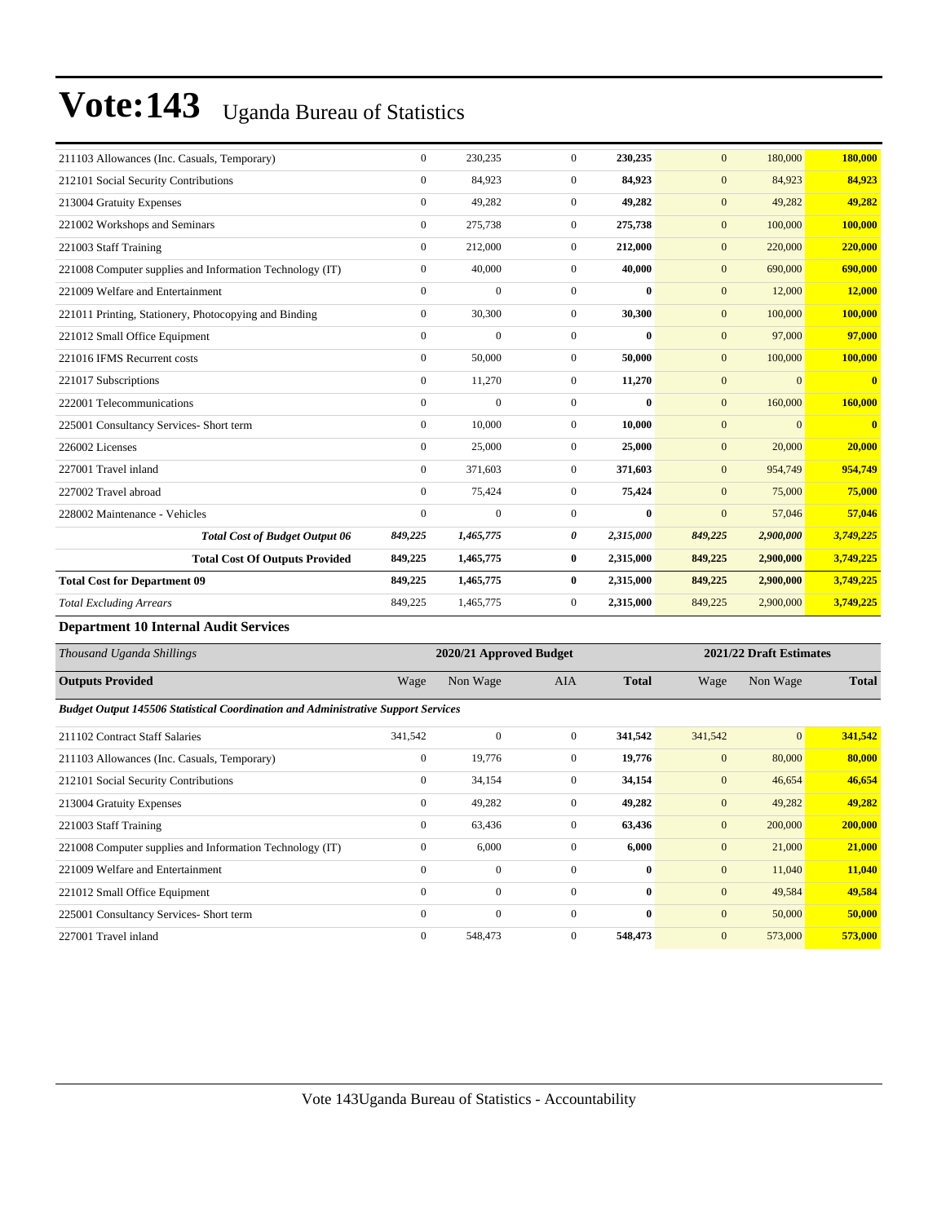| 211103 Allowances (Inc. Casuals, Temporary)              | $\mathbf{0}$     | 230,235        | $\Omega$       | 230,235      | $\mathbf{0}$     | 180,000        | 180,000      |
|----------------------------------------------------------|------------------|----------------|----------------|--------------|------------------|----------------|--------------|
| 212101 Social Security Contributions                     | $\mathbf{0}$     | 84,923         | $\overline{0}$ | 84,923       | $\mathbf{0}$     | 84,923         | 84,923       |
| 213004 Gratuity Expenses                                 | $\mathbf{0}$     | 49,282         | $\overline{0}$ | 49,282       | $\mathbf{0}$     | 49,282         | 49,282       |
| 221002 Workshops and Seminars                            | $\mathbf{0}$     | 275,738        | $\overline{0}$ | 275,738      | $\mathbf{0}$     | 100,000        | 100,000      |
| 221003 Staff Training                                    | $\mathbf{0}$     | 212,000        | $\overline{0}$ | 212,000      | $\mathbf{0}$     | 220,000        | 220,000      |
| 221008 Computer supplies and Information Technology (IT) | $\boldsymbol{0}$ | 40,000         | $\overline{0}$ | 40,000       | $\boldsymbol{0}$ | 690,000        | 690,000      |
| 221009 Welfare and Entertainment                         | $\mathbf{0}$     | $\overline{0}$ | $\overline{0}$ | $\bf{0}$     | $\mathbf{0}$     | 12,000         | 12,000       |
| 221011 Printing, Stationery, Photocopying and Binding    | $\mathbf{0}$     | 30,300         | $\overline{0}$ | 30,300       | $\mathbf{0}$     | 100,000        | 100,000      |
| 221012 Small Office Equipment                            | $\mathbf{0}$     | $\mathbf{0}$   | $\overline{0}$ | $\bf{0}$     | $\overline{0}$   | 97,000         | 97,000       |
| 221016 IFMS Recurrent costs                              | $\mathbf{0}$     | 50,000         | $\overline{0}$ | 50,000       | $\mathbf{0}$     | 100,000        | 100,000      |
| 221017 Subscriptions                                     | $\mathbf{0}$     | 11,270         | $\overline{0}$ | 11,270       | $\boldsymbol{0}$ | $\overline{0}$ | $\bf{0}$     |
| 222001 Telecommunications                                | $\mathbf{0}$     | $\Omega$       | $\Omega$       | $\mathbf{0}$ | $\mathbf{0}$     | 160,000        | 160,000      |
| 225001 Consultancy Services- Short term                  | $\Omega$         | 10,000         | $\Omega$       | 10,000       | $\mathbf{0}$     | $\Omega$       | $\mathbf{0}$ |
| 226002 Licenses                                          | $\mathbf{0}$     | 25,000         | $\overline{0}$ | 25,000       | $\mathbf{0}$     | 20,000         | 20,000       |
| 227001 Travel inland                                     | $\mathbf{0}$     | 371,603        | $\overline{0}$ | 371,603      | $\mathbf{0}$     | 954,749        | 954,749      |
| 227002 Travel abroad                                     | $\mathbf{0}$     | 75,424         | $\overline{0}$ | 75,424       | $\mathbf{0}$     | 75,000         | 75,000       |
| 228002 Maintenance - Vehicles                            | $\theta$         | $\theta$       | $\Omega$       | $\mathbf{0}$ | $\mathbf{0}$     | 57,046         | 57,046       |
| <b>Total Cost of Budget Output 06</b>                    | 849,225          | 1,465,775      | 0              | 2,315,000    | 849,225          | 2,900,000      | 3,749,225    |
| <b>Total Cost Of Outputs Provided</b>                    | 849,225          | 1,465,775      | $\bf{0}$       | 2,315,000    | 849,225          | 2,900,000      | 3,749,225    |
| <b>Total Cost for Department 09</b>                      | 849,225          | 1,465,775      | $\bf{0}$       | 2,315,000    | 849,225          | 2,900,000      | 3,749,225    |
| <b>Total Excluding Arrears</b>                           | 849,225          | 1,465,775      | $\overline{0}$ | 2,315,000    | 849,225          | 2,900,000      | 3,749,225    |

**Department 10 Internal Audit Services**

| Thousand Uganda Shillings                                                                | 2020/21 Approved Budget |              |                |              | 2021/22 Draft Estimates |                |              |
|------------------------------------------------------------------------------------------|-------------------------|--------------|----------------|--------------|-------------------------|----------------|--------------|
| <b>Outputs Provided</b>                                                                  | Wage                    | Non Wage     | <b>AIA</b>     | <b>Total</b> | Wage                    | Non Wage       | <b>Total</b> |
| <b>Budget Output 145506 Statistical Coordination and Administrative Support Services</b> |                         |              |                |              |                         |                |              |
| 211102 Contract Staff Salaries                                                           | 341,542                 | $\mathbf{0}$ | $\overline{0}$ | 341,542      | 341,542                 | $\overline{0}$ | 341,542      |
| 211103 Allowances (Inc. Casuals, Temporary)                                              | $\mathbf{0}$            | 19,776       | $\overline{0}$ | 19,776       | $\mathbf{0}$            | 80,000         | 80,000       |
| 212101 Social Security Contributions                                                     | $\mathbf{0}$            | 34,154       | $\mathbf{0}$   | 34,154       | $\mathbf{0}$            | 46,654         | 46,654       |
| 213004 Gratuity Expenses                                                                 | $\mathbf{0}$            | 49,282       | $\Omega$       | 49,282       | $\mathbf{0}$            | 49,282         | 49,282       |
| 221003 Staff Training                                                                    | $\mathbf{0}$            | 63,436       | $\overline{0}$ | 63,436       | $\mathbf{0}$            | 200,000        | 200,000      |
| 221008 Computer supplies and Information Technology (IT)                                 | $\mathbf{0}$            | 6,000        | $\overline{0}$ | 6,000        | $\mathbf{0}$            | 21,000         | 21,000       |
| 221009 Welfare and Entertainment                                                         | $\mathbf{0}$            | $\mathbf{0}$ | $\Omega$       | $\bf{0}$     | $\mathbf{0}$            | 11,040         | 11,040       |
| 221012 Small Office Equipment                                                            | $\mathbf{0}$            | $\Omega$     | $\Omega$       | $\mathbf{0}$ | $\mathbf{0}$            | 49,584         | 49,584       |
| 225001 Consultancy Services- Short term                                                  | $\mathbf{0}$            | $\mathbf{0}$ | $\overline{0}$ | $\mathbf{0}$ | $\mathbf{0}$            | 50,000         | 50,000       |
| 227001 Travel inland                                                                     | $\mathbf{0}$            | 548,473      | $\mathbf{0}$   | 548,473      | $\mathbf{0}$            | 573,000        | 573,000      |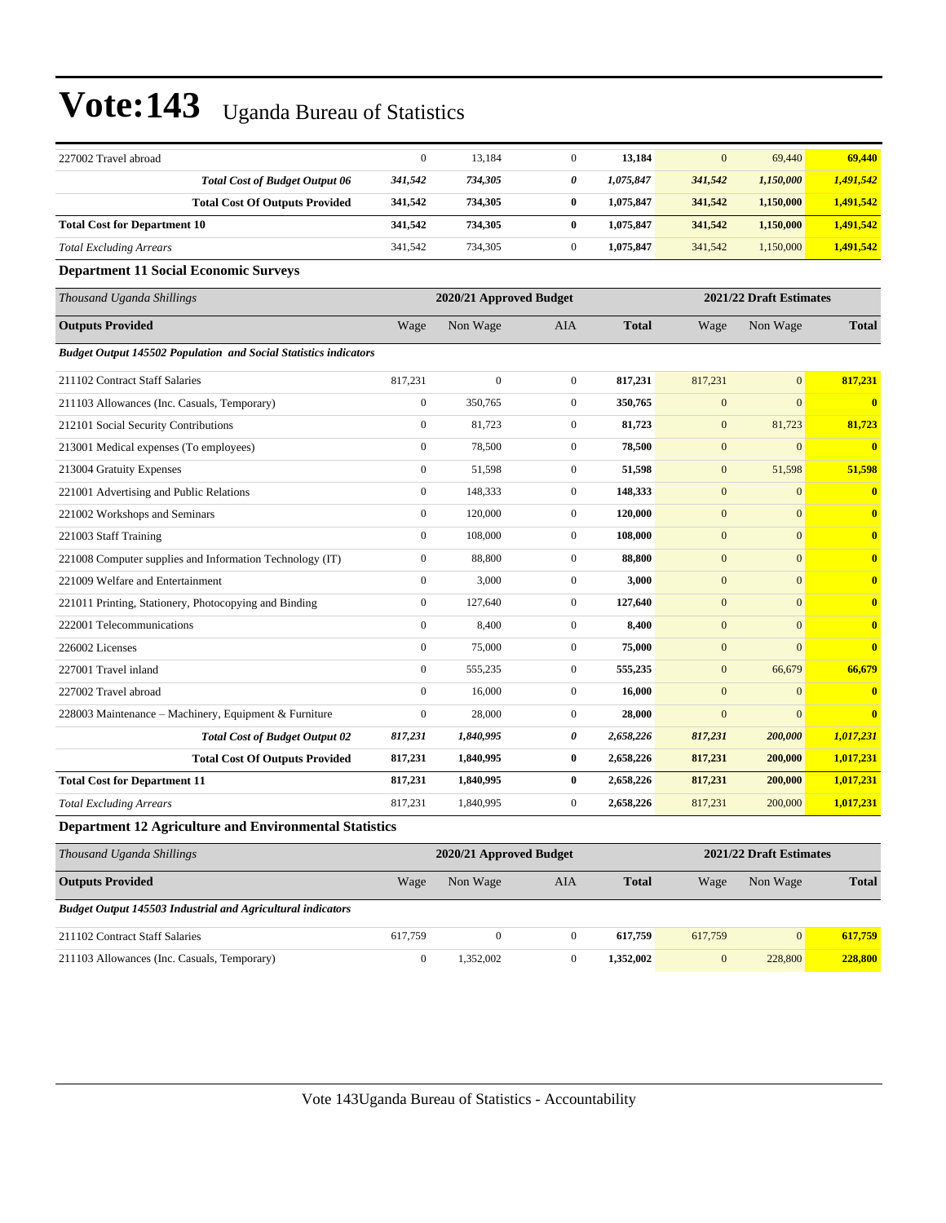| 227002 Travel abroad                                                    | $\mathbf{0}$     | 13,184                  | $\overline{0}$   | 13,184       | $\mathbf{0}$     | 69,440                  | 69,440                  |
|-------------------------------------------------------------------------|------------------|-------------------------|------------------|--------------|------------------|-------------------------|-------------------------|
| <b>Total Cost of Budget Output 06</b>                                   | 341,542          | 734,305                 | 0                | 1,075,847    | 341,542          | 1,150,000               | 1,491,542               |
| <b>Total Cost Of Outputs Provided</b>                                   | 341,542          | 734,305                 | $\bf{0}$         | 1,075,847    | 341,542          | 1,150,000               | 1,491,542               |
| <b>Total Cost for Department 10</b>                                     | 341,542          | 734,305                 | $\bf{0}$         | 1,075,847    | 341,542          | 1,150,000               | 1,491,542               |
| <b>Total Excluding Arrears</b>                                          | 341,542          | 734,305                 | $\overline{0}$   | 1,075,847    | 341,542          | 1,150,000               | 1,491,542               |
| <b>Department 11 Social Economic Surveys</b>                            |                  |                         |                  |              |                  |                         |                         |
| Thousand Uganda Shillings                                               |                  | 2020/21 Approved Budget |                  |              |                  | 2021/22 Draft Estimates |                         |
| <b>Outputs Provided</b>                                                 | Wage             | Non Wage                | AIA              | <b>Total</b> | Wage             | Non Wage                | <b>Total</b>            |
| <b>Budget Output 145502 Population and Social Statistics indicators</b> |                  |                         |                  |              |                  |                         |                         |
| 211102 Contract Staff Salaries                                          | 817,231          | $\overline{0}$          | $\boldsymbol{0}$ | 817,231      | 817,231          | $\mathbf{0}$            | 817,231                 |
| 211103 Allowances (Inc. Casuals, Temporary)                             | $\boldsymbol{0}$ | 350,765                 | $\boldsymbol{0}$ | 350,765      | $\mathbf{0}$     | $\overline{0}$          | $\overline{\mathbf{0}}$ |
| 212101 Social Security Contributions                                    | $\boldsymbol{0}$ | 81,723                  | $\boldsymbol{0}$ | 81,723       | $\mathbf{0}$     | 81,723                  | 81,723                  |
| 213001 Medical expenses (To employees)                                  | $\boldsymbol{0}$ | 78,500                  | $\mathbf{0}$     | 78,500       | $\boldsymbol{0}$ | $\overline{0}$          | $\overline{\mathbf{0}}$ |
| 213004 Gratuity Expenses                                                | $\mathbf{0}$     | 51,598                  | $\overline{0}$   | 51,598       | $\boldsymbol{0}$ | 51,598                  | 51,598                  |
| 221001 Advertising and Public Relations                                 | $\boldsymbol{0}$ | 148,333                 | $\boldsymbol{0}$ | 148,333      | $\mathbf{0}$     | $\mathbf{0}$            | $\bf{0}$                |
| 221002 Workshops and Seminars                                           | $\boldsymbol{0}$ | 120,000                 | $\mathbf{0}$     | 120,000      | $\boldsymbol{0}$ | $\mathbf{0}$            | $\bf{0}$                |
| 221003 Staff Training                                                   | $\boldsymbol{0}$ | 108,000                 | $\overline{0}$   | 108,000      | $\mathbf{0}$     | $\overline{0}$          | $\bf{0}$                |
| 221008 Computer supplies and Information Technology (IT)                | $\boldsymbol{0}$ | 88,800                  | $\mathbf{0}$     | 88,800       | $\mathbf{0}$     | $\Omega$                | $\bf{0}$                |
| 221009 Welfare and Entertainment                                        | $\boldsymbol{0}$ | 3,000                   | $\overline{0}$   | 3,000        | $\mathbf{0}$     | $\overline{0}$          | $\bf{0}$                |
| 221011 Printing, Stationery, Photocopying and Binding                   | $\boldsymbol{0}$ | 127,640                 | $\mathbf{0}$     | 127,640      | $\mathbf{0}$     | $\overline{0}$          | $\bf{0}$                |
| 222001 Telecommunications                                               | $\boldsymbol{0}$ | 8,400                   | $\boldsymbol{0}$ | 8,400        | $\mathbf{0}$     | $\mathbf{0}$            | $\bf{0}$                |
| 226002 Licenses                                                         | $\boldsymbol{0}$ | 75,000                  | $\boldsymbol{0}$ | 75,000       | $\mathbf{0}$     | $\overline{0}$          | $\bf{0}$                |
| 227001 Travel inland                                                    | $\mathbf{0}$     | 555,235                 | $\mathbf{0}$     | 555,235      | $\mathbf{0}$     | 66,679                  | 66,679                  |
| 227002 Travel abroad                                                    | $\boldsymbol{0}$ | 16,000                  | $\boldsymbol{0}$ | 16,000       | $\mathbf{0}$     | $\mathbf{0}$            | $\bf{0}$                |
| 228003 Maintenance - Machinery, Equipment & Furniture                   | $\boldsymbol{0}$ | 28,000                  | $\boldsymbol{0}$ | 28,000       | $\mathbf{0}$     | $\mathbf{0}$            | $\overline{0}$          |
| <b>Total Cost of Budget Output 02</b>                                   | 817,231          | 1,840,995               | 0                | 2,658,226    | 817,231          | 200,000                 | 1,017,231               |
| <b>Total Cost Of Outputs Provided</b>                                   | 817,231          | 1,840,995               | $\bf{0}$         | 2,658,226    | 817,231          | 200,000                 | 1,017,231               |
| <b>Total Cost for Department 11</b>                                     | 817,231          | 1,840,995               | $\bf{0}$         | 2,658,226    | 817,231          | 200,000                 | 1,017,231               |
| <b>Total Excluding Arrears</b>                                          | 817,231          | 1,840,995               | $\overline{0}$   | 2,658,226    | 817,231          | 200,000                 | 1,017,231               |
| <b>Department 12 Agriculture and Environmental Statistics</b>           |                  |                         |                  |              |                  |                         |                         |
| Thousand Uganda Shillings                                               |                  | 2020/21 Approved Budget |                  |              |                  | 2021/22 Draft Estimates |                         |
| <b>Outputs Provided</b>                                                 | Wage             | Non Wage                | AIA              | <b>Total</b> | Wage             | Non Wage                | <b>Total</b>            |
| Budget Output 145503 Industrial and Agricultural indicators             |                  |                         |                  |              |                  |                         |                         |

| 211102 Contract Staff Salaries              |         | 617,759   |         |               |
|---------------------------------------------|---------|-----------|---------|---------------|
| 211103 Allowances (Inc. Casuals, Temporary) | 352.002 | 1.352.002 | 228,800 | <b>28.800</b> |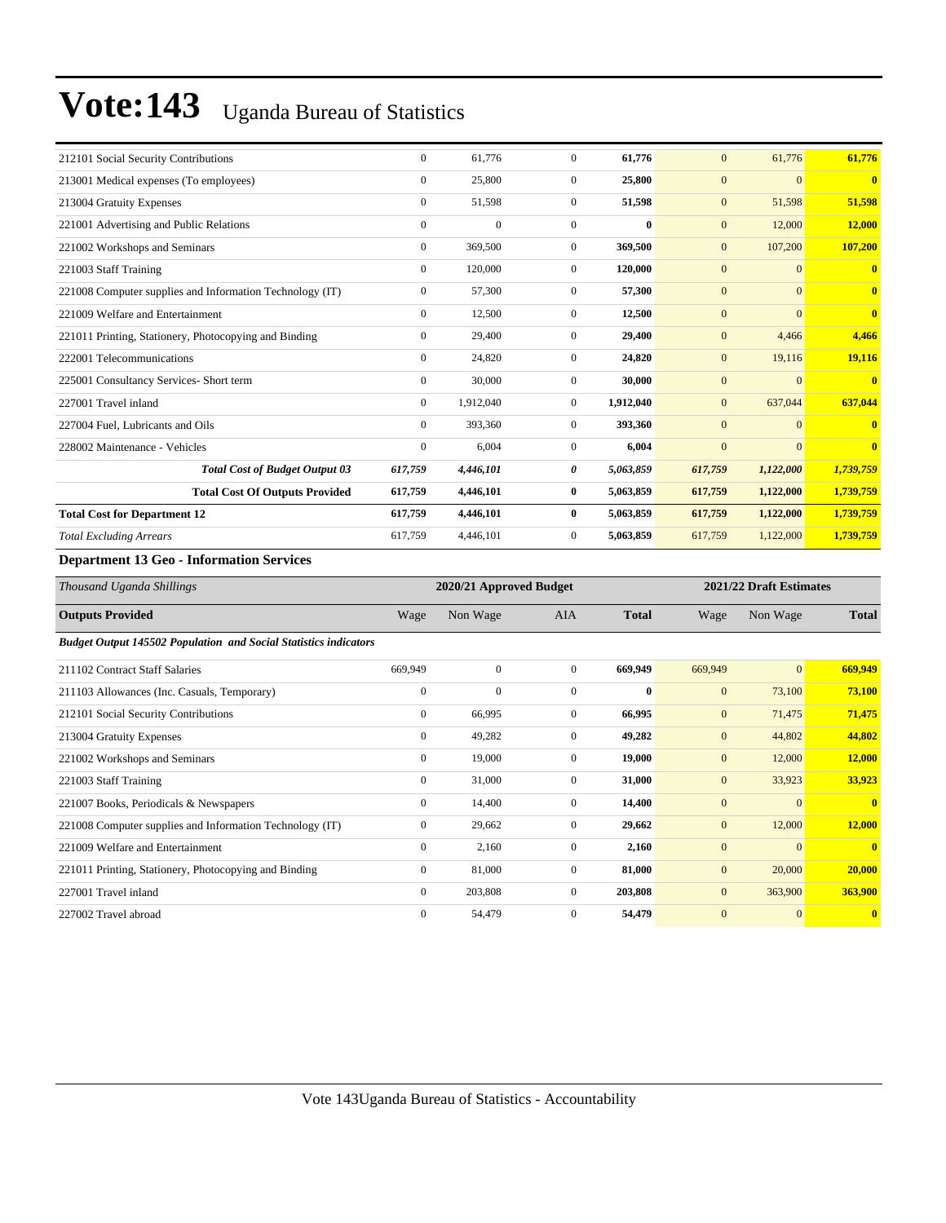| 212101 Social Security Contributions                                                                                                                                                                                                                                                             | $\Omega$     | 61,776       | $\Omega$     | 61,776       | $\mathbf{0}$     | 61,776    | 61,776                  |
|--------------------------------------------------------------------------------------------------------------------------------------------------------------------------------------------------------------------------------------------------------------------------------------------------|--------------|--------------|--------------|--------------|------------------|-----------|-------------------------|
| 213001 Medical expenses (To employees)                                                                                                                                                                                                                                                           | $\mathbf{0}$ | 25,800       | $\mathbf{0}$ | 25,800       | $\overline{0}$   | $\Omega$  | $\overline{\mathbf{0}}$ |
| 213004 Gratuity Expenses                                                                                                                                                                                                                                                                         | $\mathbf{0}$ | 51,598       | $\mathbf{0}$ | 51,598       | $\boldsymbol{0}$ | 51,598    | 51,598                  |
| 221001 Advertising and Public Relations                                                                                                                                                                                                                                                          | $\Omega$     | $\mathbf{0}$ | $\Omega$     | $\mathbf{0}$ | $\boldsymbol{0}$ | 12,000    | 12,000                  |
| 221002 Workshops and Seminars                                                                                                                                                                                                                                                                    | $\Omega$     | 369,500      | $\Omega$     | 369,500      | $\boldsymbol{0}$ | 107,200   | 107,200                 |
| 221003 Staff Training                                                                                                                                                                                                                                                                            | $\Omega$     | 120,000      | $\mathbf{0}$ | 120,000      | $\mathbf{0}$     | $\Omega$  | $\overline{0}$          |
| 221008 Computer supplies and Information Technology (IT)                                                                                                                                                                                                                                         | $\mathbf{0}$ | 57,300       | $\mathbf{0}$ | 57,300       | $\overline{0}$   | $\Omega$  | $\overline{0}$          |
| 221009 Welfare and Entertainment                                                                                                                                                                                                                                                                 | $\mathbf{0}$ | 12,500       | $\mathbf{0}$ | 12,500       | $\boldsymbol{0}$ | $\Omega$  | $\overline{0}$          |
| 221011 Printing, Stationery, Photocopying and Binding                                                                                                                                                                                                                                            | $\Omega$     | 29,400       | $\Omega$     | 29,400       | $\boldsymbol{0}$ | 4,466     | 4,466                   |
| 222001 Telecommunications                                                                                                                                                                                                                                                                        | $\Omega$     | 24,820       | $\Omega$     | 24,820       | $\boldsymbol{0}$ | 19,116    | 19,116                  |
| 225001 Consultancy Services- Short term                                                                                                                                                                                                                                                          | $\mathbf{0}$ | 30,000       | $\Omega$     | 30,000       | $\overline{0}$   | $\Omega$  | $\overline{0}$          |
| 227001 Travel inland                                                                                                                                                                                                                                                                             | $\Omega$     | 1,912,040    | $\mathbf{0}$ | 1,912,040    | $\boldsymbol{0}$ | 637,044   | 637,044                 |
| 227004 Fuel, Lubricants and Oils                                                                                                                                                                                                                                                                 | $\Omega$     | 393,360      | $\mathbf{0}$ | 393,360      | $\mathbf{0}$     | $\Omega$  | $\overline{0}$          |
| 228002 Maintenance - Vehicles                                                                                                                                                                                                                                                                    | $\Omega$     | 6,004        | $\Omega$     | 6,004        | $\overline{0}$   | $\Omega$  | $\overline{0}$          |
| <b>Total Cost of Budget Output 03</b>                                                                                                                                                                                                                                                            | 617,759      | 4,446,101    | 0            | 5,063,859    | 617,759          | 1,122,000 | 1,739,759               |
| <b>Total Cost Of Outputs Provided</b>                                                                                                                                                                                                                                                            | 617,759      | 4,446,101    | $\bf{0}$     | 5,063,859    | 617,759          | 1,122,000 | 1,739,759               |
| <b>Total Cost for Department 12</b>                                                                                                                                                                                                                                                              | 617,759      | 4,446,101    | $\bf{0}$     | 5,063,859    | 617,759          | 1,122,000 | 1,739,759               |
| <b>Total Excluding Arrears</b>                                                                                                                                                                                                                                                                   | 617,759      | 4,446,101    | $\mathbf{0}$ | 5,063,859    | 617,759          | 1,122,000 | 1,739,759               |
| $\mathbf{D}$ and $\mathbf{A}$ and $\mathbf{A}$ and $\mathbf{A}$ and $\mathbf{D}$ and $\mathbf{D}$ and $\mathbf{D}$ and $\mathbf{D}$ and $\mathbf{D}$ and $\mathbf{D}$ and $\mathbf{D}$ and $\mathbf{D}$ and $\mathbf{D}$ and $\mathbf{D}$ and $\mathbf{D}$ and $\mathbf{D}$ and $\mathbf{D}$ and |              |              |              |              |                  |           |                         |

| Thousand Uganda Shillings                                               | 2020/21 Approved Budget |              |                | 2021/22 Draft Estimates |              |                |              |
|-------------------------------------------------------------------------|-------------------------|--------------|----------------|-------------------------|--------------|----------------|--------------|
| <b>Outputs Provided</b>                                                 | Wage                    | Non Wage     | <b>AIA</b>     | <b>Total</b>            | Wage         | Non Wage       | <b>Total</b> |
| <b>Budget Output 145502 Population and Social Statistics indicators</b> |                         |              |                |                         |              |                |              |
| 211102 Contract Staff Salaries                                          | 669,949                 | $\mathbf{0}$ | $\overline{0}$ | 669,949                 | 669,949      | $\overline{0}$ | 669,949      |
| 211103 Allowances (Inc. Casuals, Temporary)                             | $\mathbf{0}$            | $\mathbf{0}$ | $\Omega$       | $\bf{0}$                | $\mathbf{0}$ | 73,100         | 73,100       |
| 212101 Social Security Contributions                                    | $\mathbf{0}$            | 66,995       | $\overline{0}$ | 66,995                  | $\mathbf{0}$ | 71,475         | 71,475       |
| 213004 Gratuity Expenses                                                | $\mathbf{0}$            | 49,282       | $\overline{0}$ | 49,282                  | $\mathbf{0}$ | 44,802         | 44,802       |
| 221002 Workshops and Seminars                                           | $\mathbf{0}$            | 19,000       | $\overline{0}$ | 19,000                  | $\mathbf{0}$ | 12,000         | 12,000       |
| 221003 Staff Training                                                   | $\mathbf{0}$            | 31,000       | $\Omega$       | 31,000                  | $\mathbf{0}$ | 33,923         | 33,923       |
| 221007 Books, Periodicals & Newspapers                                  | $\mathbf{0}$            | 14,400       | $\overline{0}$ | 14,400                  | $\mathbf{0}$ | $\overline{0}$ | $\mathbf{0}$ |
| 221008 Computer supplies and Information Technology (IT)                | $\mathbf{0}$            | 29,662       | $\overline{0}$ | 29,662                  | $\mathbf{0}$ | 12,000         | 12,000       |
| 221009 Welfare and Entertainment                                        | $\mathbf{0}$            | 2,160        | $\overline{0}$ | 2,160                   | $\mathbf{0}$ | $\mathbf{0}$   | $\mathbf{0}$ |
| 221011 Printing, Stationery, Photocopying and Binding                   | $\mathbf{0}$            | 81,000       | $\overline{0}$ | 81,000                  | $\mathbf{0}$ | 20,000         | 20,000       |
| 227001 Travel inland                                                    | $\mathbf{0}$            | 203,808      | $\Omega$       | 203,808                 | $\mathbf{0}$ | 363,900        | 363,900      |
| 227002 Travel abroad                                                    | $\mathbf{0}$            | 54,479       | $\mathbf{0}$   | 54,479                  | $\mathbf{0}$ | $\mathbf{0}$   | $\mathbf{0}$ |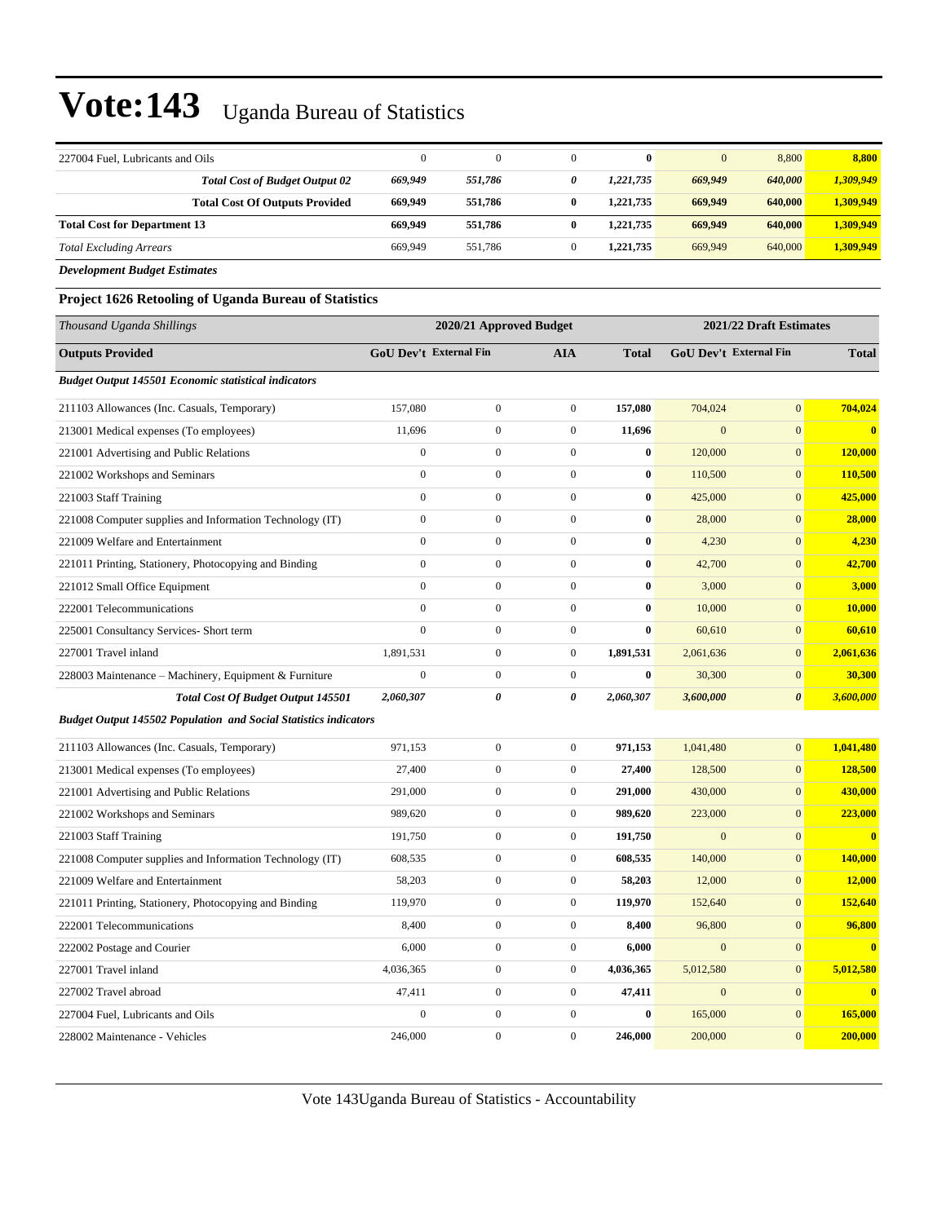| 227004 Fuel, Lubricants and Oils                                        | $\boldsymbol{0}$              | $\mathbf{0}$            | $\mathbf{0}$     | $\bf{0}$     | $\mathbf{0}$ | 8,800                         | 8,800        |
|-------------------------------------------------------------------------|-------------------------------|-------------------------|------------------|--------------|--------------|-------------------------------|--------------|
| <b>Total Cost of Budget Output 02</b>                                   | 669,949                       | 551,786                 | 0                | 1,221,735    | 669,949      | 640,000                       | 1,309,949    |
| <b>Total Cost Of Outputs Provided</b>                                   | 669,949                       | 551,786                 | 0                | 1,221,735    | 669,949      | 640,000                       | 1,309,949    |
| <b>Total Cost for Department 13</b>                                     | 669,949                       | 551,786                 | $\bf{0}$         | 1,221,735    | 669,949      | 640,000                       | 1,309,949    |
| <b>Total Excluding Arrears</b>                                          | 669,949                       | 551,786                 | $\boldsymbol{0}$ | 1,221,735    | 669,949      | 640,000                       | 1,309,949    |
| <b>Development Budget Estimates</b>                                     |                               |                         |                  |              |              |                               |              |
| Project 1626 Retooling of Uganda Bureau of Statistics                   |                               |                         |                  |              |              |                               |              |
| Thousand Uganda Shillings                                               |                               | 2020/21 Approved Budget |                  |              |              | 2021/22 Draft Estimates       |              |
| <b>Outputs Provided</b>                                                 | <b>GoU Dev't External Fin</b> |                         | <b>AIA</b>       | <b>Total</b> |              | <b>GoU Dev't External Fin</b> | <b>Total</b> |
| <b>Budget Output 145501 Economic statistical indicators</b>             |                               |                         |                  |              |              |                               |              |
| 211103 Allowances (Inc. Casuals, Temporary)                             | 157,080                       | $\boldsymbol{0}$        | $\boldsymbol{0}$ | 157,080      | 704,024      | $\mathbf{0}$                  | 704,024      |
| 213001 Medical expenses (To employees)                                  | 11,696                        | 0                       | $\boldsymbol{0}$ | 11,696       | $\mathbf{0}$ | $\boldsymbol{0}$              | $\bf{0}$     |
| 221001 Advertising and Public Relations                                 | $\boldsymbol{0}$              | $\boldsymbol{0}$        | $\boldsymbol{0}$ | $\bf{0}$     | 120,000      | $\mathbf{0}$                  | 120,000      |
| 221002 Workshops and Seminars                                           | $\boldsymbol{0}$              | $\boldsymbol{0}$        | $\boldsymbol{0}$ | $\bf{0}$     | 110,500      | $\mathbf{0}$                  | 110,500      |
| 221003 Staff Training                                                   | $\boldsymbol{0}$              | $\boldsymbol{0}$        | $\boldsymbol{0}$ | $\bf{0}$     | 425,000      | $\mathbf{0}$                  | 425,000      |
| 221008 Computer supplies and Information Technology (IT)                | $\boldsymbol{0}$              | 0                       | $\boldsymbol{0}$ | $\bf{0}$     | 28,000       | $\boldsymbol{0}$              | 28,000       |
| 221009 Welfare and Entertainment                                        | $\mathbf{0}$                  | $\boldsymbol{0}$        | $\boldsymbol{0}$ | $\bf{0}$     | 4,230        | $\boldsymbol{0}$              | 4,230        |
| 221011 Printing, Stationery, Photocopying and Binding                   | $\mathbf{0}$                  | $\boldsymbol{0}$        | $\boldsymbol{0}$ | $\bf{0}$     | 42,700       | $\mathbf{0}$                  | 42,700       |
| 221012 Small Office Equipment                                           | $\mathbf{0}$                  | $\boldsymbol{0}$        | $\boldsymbol{0}$ | $\bf{0}$     | 3,000        | $\mathbf{0}$                  | 3,000        |
| 222001 Telecommunications                                               | $\mathbf{0}$                  | $\boldsymbol{0}$        | $\boldsymbol{0}$ | $\bf{0}$     | 10,000       | $\mathbf{0}$                  | 10,000       |
| 225001 Consultancy Services- Short term                                 | $\mathbf{0}$                  | 0                       | $\boldsymbol{0}$ | $\bf{0}$     | 60,610       | $\mathbf{0}$                  | 60,610       |
| 227001 Travel inland                                                    | 1,891,531                     | 0                       | $\boldsymbol{0}$ | 1,891,531    | 2,061,636    | $\boldsymbol{0}$              | 2,061,636    |
| 228003 Maintenance - Machinery, Equipment & Furniture                   | $\mathbf{0}$                  | $\boldsymbol{0}$        | $\boldsymbol{0}$ | $\bf{0}$     | 30,300       | $\mathbf{0}$                  | 30,300       |
| <b>Total Cost Of Budget Output 145501</b>                               | 2,060,307                     | 0                       | 0                | 2,060,307    | 3,600,000    | $\boldsymbol{\theta}$         | 3,600,000    |
| <b>Budget Output 145502 Population and Social Statistics indicators</b> |                               |                         |                  |              |              |                               |              |
| 211103 Allowances (Inc. Casuals, Temporary)                             | 971,153                       | $\boldsymbol{0}$        | $\boldsymbol{0}$ | 971,153      | 1,041,480    | $\mathbf{0}$                  | 1,041,480    |
| 213001 Medical expenses (To employees)                                  | 27,400                        | $\boldsymbol{0}$        | $\boldsymbol{0}$ | 27,400       | 128,500      | $\mathbf{0}$                  | 128,500      |
| 221001 Advertising and Public Relations                                 | 291,000                       | $\boldsymbol{0}$        | $\boldsymbol{0}$ | 291,000      | 430,000      | $\boldsymbol{0}$              | 430,000      |
| 221002 Workshops and Seminars                                           | 989,620                       | $\boldsymbol{0}$        | $\boldsymbol{0}$ | 989,620      | 223,000      | $\mathbf{0}$                  | 223,000      |
| 221003 Staff Training                                                   | 191,750                       | 0                       | 0                | 191,750      | $\mathbf{0}$ | $\boldsymbol{0}$              |              |
| 221008 Computer supplies and Information Technology (IT)                | 608,535                       | $\boldsymbol{0}$        | 0                | 608,535      | 140,000      | $\mathbf{0}$                  | 140,000      |
| 221009 Welfare and Entertainment                                        | 58,203                        | $\boldsymbol{0}$        | $\boldsymbol{0}$ | 58,203       | 12,000       | $\mathbf{0}$                  | 12,000       |
| 221011 Printing, Stationery, Photocopying and Binding                   | 119,970                       | $\boldsymbol{0}$        | $\boldsymbol{0}$ | 119,970      | 152,640      | $\mathbf{0}$                  | 152,640      |
| 222001 Telecommunications                                               | 8,400                         | $\boldsymbol{0}$        | $\boldsymbol{0}$ | 8,400        | 96,800       | $\mathbf{0}$                  | 96,800       |
| 222002 Postage and Courier                                              | 6,000                         | $\boldsymbol{0}$        | $\boldsymbol{0}$ | 6,000        | $\mathbf{0}$ | $\mathbf{0}$                  | $\bf{0}$     |
| 227001 Travel inland                                                    | 4,036,365                     | $\boldsymbol{0}$        | $\boldsymbol{0}$ | 4,036,365    | 5,012,580    | $\mathbf{0}$                  | 5,012,580    |
| 227002 Travel abroad                                                    | 47,411                        | $\boldsymbol{0}$        | $\boldsymbol{0}$ | 47,411       | $\mathbf{0}$ | $\mathbf{0}$                  | $\bf{0}$     |
| 227004 Fuel, Lubricants and Oils                                        | $\boldsymbol{0}$              | $\boldsymbol{0}$        | $\boldsymbol{0}$ | $\bf{0}$     | 165,000      | $\boldsymbol{0}$              | 165,000      |
| 228002 Maintenance - Vehicles                                           | 246,000                       | $\boldsymbol{0}$        | $\boldsymbol{0}$ | 246,000      | 200,000      | $\mathbf{0}$                  | 200,000      |

Vote 143Uganda Bureau of Statistics - Accountability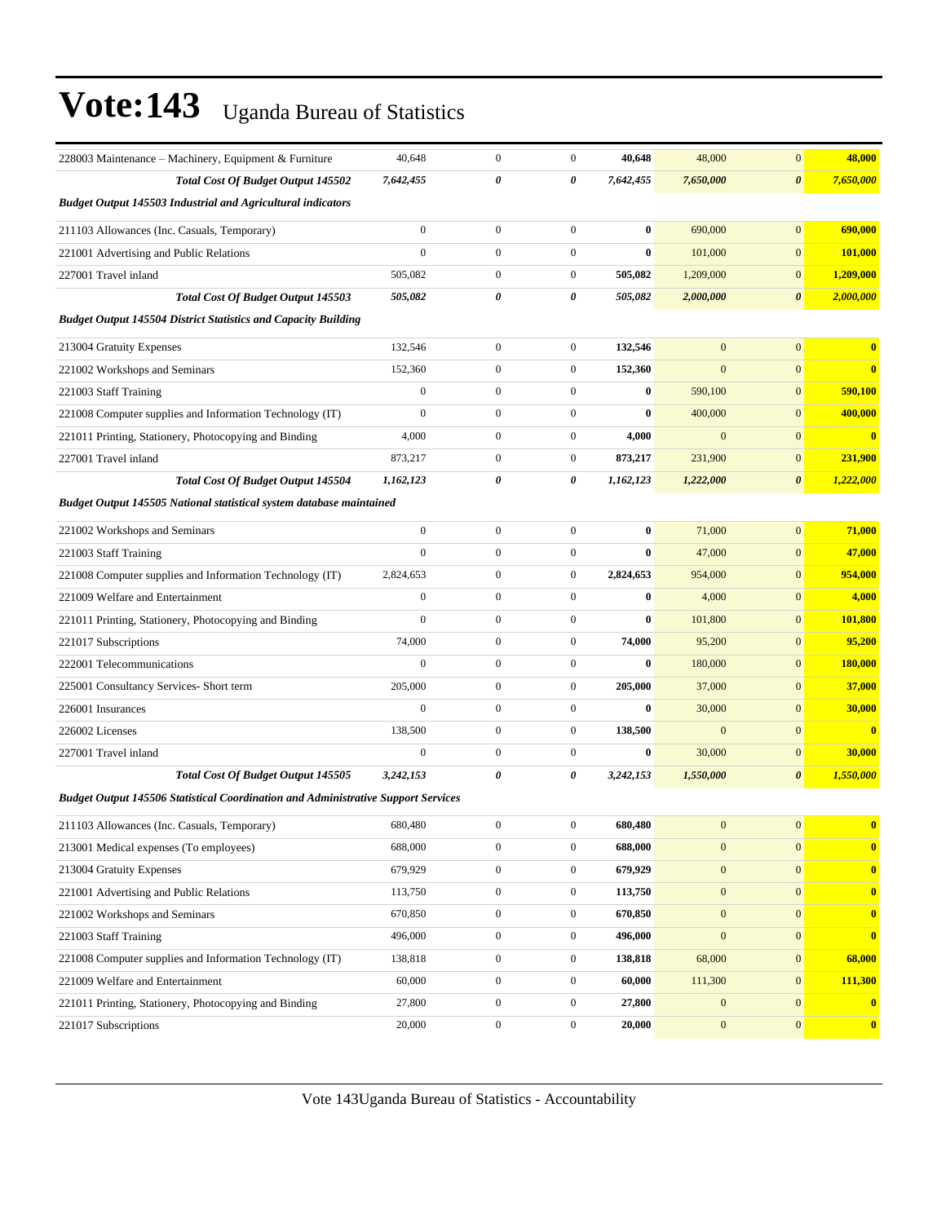| 228003 Maintenance – Machinery, Equipment & Furniture                                    | 40,648           | $\boldsymbol{0}$ | $\boldsymbol{0}$ | 40,648    | 48,000           | $\mathbf{0}$          | 48,000                  |
|------------------------------------------------------------------------------------------|------------------|------------------|------------------|-----------|------------------|-----------------------|-------------------------|
| Total Cost Of Budget Output 145502                                                       | 7,642,455        | 0                | 0                | 7,642,455 | 7,650,000        | $\boldsymbol{\theta}$ | 7,650,000               |
| <b>Budget Output 145503 Industrial and Agricultural indicators</b>                       |                  |                  |                  |           |                  |                       |                         |
| 211103 Allowances (Inc. Casuals, Temporary)                                              | $\boldsymbol{0}$ | $\boldsymbol{0}$ | $\boldsymbol{0}$ | $\bf{0}$  | 690,000          | $\mathbf{0}$          | 690,000                 |
| 221001 Advertising and Public Relations                                                  | $\boldsymbol{0}$ | $\mathbf{0}$     | $\boldsymbol{0}$ | $\bf{0}$  | 101,000          | $\mathbf{0}$          | 101,000                 |
| 227001 Travel inland                                                                     | 505,082          | $\boldsymbol{0}$ | $\boldsymbol{0}$ | 505,082   | 1,209,000        | $\mathbf{0}$          | 1,209,000               |
| Total Cost Of Budget Output 145503                                                       | 505,082          | 0                | 0                | 505,082   | 2,000,000        | $\boldsymbol{\theta}$ | 2,000,000               |
| <b>Budget Output 145504 District Statistics and Capacity Building</b>                    |                  |                  |                  |           |                  |                       |                         |
| 213004 Gratuity Expenses                                                                 | 132,546          | $\mathbf{0}$     | $\boldsymbol{0}$ | 132,546   | $\mathbf{0}$     | $\mathbf{0}$          | $\bf{0}$                |
| 221002 Workshops and Seminars                                                            | 152,360          | $\boldsymbol{0}$ | $\boldsymbol{0}$ | 152,360   | $\mathbf{0}$     | $\mathbf{0}$          | $\bf{0}$                |
| 221003 Staff Training                                                                    | $\boldsymbol{0}$ | $\mathbf{0}$     | $\boldsymbol{0}$ | $\bf{0}$  | 590,100          | $\mathbf{0}$          | 590,100                 |
| 221008 Computer supplies and Information Technology (IT)                                 | $\mathbf{0}$     | $\mathbf{0}$     | $\boldsymbol{0}$ | $\bf{0}$  | 400,000          | $\mathbf{0}$          | 400,000                 |
| 221011 Printing, Stationery, Photocopying and Binding                                    | 4,000            | $\mathbf{0}$     | $\boldsymbol{0}$ | 4,000     | $\overline{0}$   | $\mathbf{0}$          | $\overline{\mathbf{0}}$ |
| 227001 Travel inland                                                                     | 873,217          | $\mathbf{0}$     | $\boldsymbol{0}$ | 873,217   | 231,900          | $\mathbf{0}$          | 231,900                 |
| <b>Total Cost Of Budget Output 145504</b>                                                | 1,162,123        | 0                | 0                | 1,162,123 | 1,222,000        | $\boldsymbol{\theta}$ | 1,222,000               |
| Budget Output 145505 National statistical system database maintained                     |                  |                  |                  |           |                  |                       |                         |
| 221002 Workshops and Seminars                                                            | $\boldsymbol{0}$ | $\boldsymbol{0}$ | $\boldsymbol{0}$ | $\bf{0}$  | 71,000           | $\mathbf{0}$          | 71,000                  |
| 221003 Staff Training                                                                    | $\mathbf{0}$     | $\boldsymbol{0}$ | $\boldsymbol{0}$ | $\bf{0}$  | 47,000           | $\mathbf{0}$          | 47,000                  |
| 221008 Computer supplies and Information Technology (IT)                                 | 2,824,653        | $\mathbf{0}$     | $\boldsymbol{0}$ | 2,824,653 | 954,000          | $\mathbf{0}$          | 954,000                 |
| 221009 Welfare and Entertainment                                                         | $\boldsymbol{0}$ | $\boldsymbol{0}$ | $\boldsymbol{0}$ | $\bf{0}$  | 4,000            | $\mathbf{0}$          | 4,000                   |
| 221011 Printing, Stationery, Photocopying and Binding                                    | $\overline{0}$   | $\boldsymbol{0}$ | $\boldsymbol{0}$ | $\bf{0}$  | 101,800          | $\mathbf{0}$          | 101,800                 |
| 221017 Subscriptions                                                                     | 74,000           | $\mathbf{0}$     | $\boldsymbol{0}$ | 74,000    | 95,200           | $\mathbf{0}$          | 95,200                  |
| 222001 Telecommunications                                                                | $\boldsymbol{0}$ | $\boldsymbol{0}$ | $\boldsymbol{0}$ | $\bf{0}$  | 180,000          | $\mathbf{0}$          | 180,000                 |
| 225001 Consultancy Services- Short term                                                  | 205,000          | $\mathbf{0}$     | $\boldsymbol{0}$ | 205,000   | 37,000           | $\mathbf{0}$          | 37,000                  |
| 226001 Insurances                                                                        | $\mathbf{0}$     | $\boldsymbol{0}$ | $\boldsymbol{0}$ | $\bf{0}$  | 30,000           | $\mathbf{0}$          | 30,000                  |
| 226002 Licenses                                                                          | 138,500          | $\boldsymbol{0}$ | $\boldsymbol{0}$ | 138,500   | $\mathbf{0}$     | $\mathbf{0}$          | $\bf{0}$                |
| 227001 Travel inland                                                                     | $\boldsymbol{0}$ | $\mathbf{0}$     | $\boldsymbol{0}$ | $\bf{0}$  | 30,000           | $\mathbf{0}$          | 30,000                  |
| <b>Total Cost Of Budget Output 145505</b>                                                | 3,242,153        | 0                | 0                | 3,242,153 | 1,550,000        | $\boldsymbol{\theta}$ | 1,550,000               |
| <b>Budget Output 145506 Statistical Coordination and Administrative Support Services</b> |                  |                  |                  |           |                  |                       |                         |
| 211103 Allowances (Inc. Casuals, Temporary)                                              | 680,480          | $\boldsymbol{0}$ | $\boldsymbol{0}$ | 680,480   | $\mathbf{0}$     | $\mathbf{0}$          | $\overline{\mathbf{0}}$ |
| 213001 Medical expenses (To employees)                                                   | 688,000          | $\boldsymbol{0}$ | $\boldsymbol{0}$ | 688,000   | $\boldsymbol{0}$ | $\mathbf{0}$          | $\bf{0}$                |
| 213004 Gratuity Expenses                                                                 | 679,929          | $\boldsymbol{0}$ | $\boldsymbol{0}$ | 679,929   | $\boldsymbol{0}$ | $\mathbf{0}$          | $\bf{0}$                |
| 221001 Advertising and Public Relations                                                  | 113,750          | $\boldsymbol{0}$ | $\boldsymbol{0}$ | 113,750   | $\boldsymbol{0}$ | $\mathbf{0}$          | $\bf{0}$                |
| 221002 Workshops and Seminars                                                            | 670,850          | $\boldsymbol{0}$ | $\boldsymbol{0}$ | 670,850   | $\boldsymbol{0}$ | $\mathbf{0}$          | $\mathbf{0}$            |
| 221003 Staff Training                                                                    | 496,000          | $\boldsymbol{0}$ | $\boldsymbol{0}$ | 496,000   | $\boldsymbol{0}$ | $\mathbf{0}$          | $\bf{0}$                |
| 221008 Computer supplies and Information Technology (IT)                                 | 138,818          | $\boldsymbol{0}$ | $\boldsymbol{0}$ | 138,818   | 68,000           | $\mathbf{0}$          | 68,000                  |
| 221009 Welfare and Entertainment                                                         | 60,000           | $\boldsymbol{0}$ | $\boldsymbol{0}$ | 60,000    | 111,300          | $\boldsymbol{0}$      | 111,300                 |
| 221011 Printing, Stationery, Photocopying and Binding                                    | 27,800           | $\boldsymbol{0}$ | $\boldsymbol{0}$ | 27,800    | $\mathbf{0}$     | $\mathbf{0}$          | $\bf{0}$                |
| 221017 Subscriptions                                                                     | 20,000           | $\boldsymbol{0}$ | $\boldsymbol{0}$ | 20,000    | $\boldsymbol{0}$ | $\boldsymbol{0}$      | $\mathbf{0}$            |